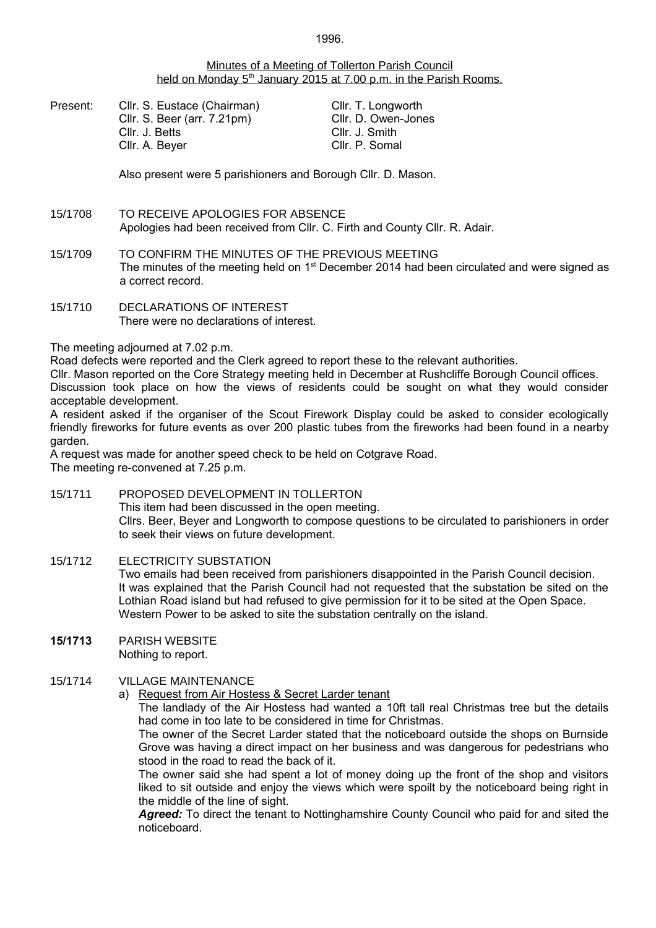# Minutes of a Meeting of Tollerton Parish Council held on Monday 5<sup>th</sup> January 2015 at 7.00 p.m. in the Parish Rooms.

Present: Cllr. S. Eustace (Chairman) Cllr. T. Longworth Cllr. S. Beer (arr. 7.21pm) Cllr. D. Owen-Jones Cllr. J. Betts Cllr. J. Smith Cllr. A. Beyer Cllr. P. Somal

Also present were 5 parishioners and Borough Cllr. D. Mason.

- 15/1708 TO RECEIVE APOLOGIES FOR ABSENCE Apologies had been received from Cllr. C. Firth and County Cllr. R. Adair.
- 15/1709 TO CONFIRM THE MINUTES OF THE PREVIOUS MEETING The minutes of the meeting held on  $1<sup>st</sup>$  December 2014 had been circulated and were signed as a correct record.
- 15/1710 DECLARATIONS OF INTEREST There were no declarations of interest.

# The meeting adjourned at 7.02 p.m.

Road defects were reported and the Clerk agreed to report these to the relevant authorities.

Cllr. Mason reported on the Core Strategy meeting held in December at Rushcliffe Borough Council offices. Discussion took place on how the views of residents could be sought on what they would consider acceptable development.

A resident asked if the organiser of the Scout Firework Display could be asked to consider ecologically friendly fireworks for future events as over 200 plastic tubes from the fireworks had been found in a nearby garden.

A request was made for another speed check to be held on Cotgrave Road. The meeting re-convened at 7.25 p.m.

15/1711 PROPOSED DEVELOPMENT IN TOLLERTON This item had been discussed in the open meeting. Cllrs. Beer, Beyer and Longworth to compose questions to be circulated to parishioners in order to seek their views on future development.

# 15/1712 ELECTRICITY SUBSTATION

Two emails had been received from parishioners disappointed in the Parish Council decision. It was explained that the Parish Council had not requested that the substation be sited on the Lothian Road island but had refused to give permission for it to be sited at the Open Space. Western Power to be asked to site the substation centrally on the island.

**15/1713** PARISH WEBSITE Nothing to report.

# 15/1714 VILLAGE MAINTENANCE

a) Request from Air Hostess & Secret Larder tenant

The landlady of the Air Hostess had wanted a 10ft tall real Christmas tree but the details had come in too late to be considered in time for Christmas.

The owner of the Secret Larder stated that the noticeboard outside the shops on Burnside Grove was having a direct impact on her business and was dangerous for pedestrians who stood in the road to read the back of it.

The owner said she had spent a lot of money doing up the front of the shop and visitors liked to sit outside and enjoy the views which were spoilt by the noticeboard being right in the middle of the line of sight.

*Agreed:* To direct the tenant to Nottinghamshire County Council who paid for and sited the noticeboard.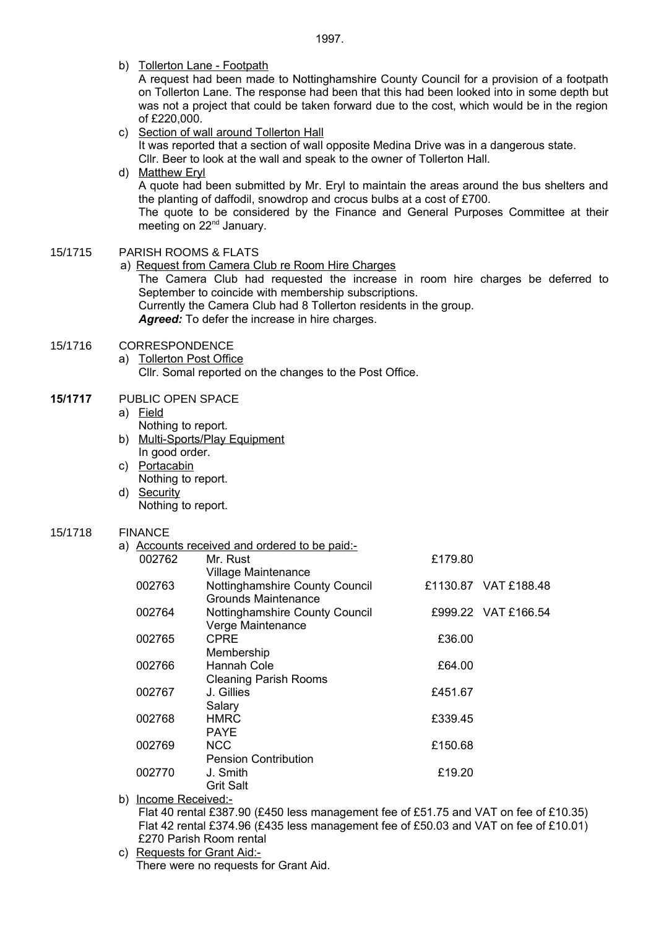b) Tollerton Lane - Footpath

A request had been made to Nottinghamshire County Council for a provision of a footpath on Tollerton Lane. The response had been that this had been looked into in some depth but was not a project that could be taken forward due to the cost, which would be in the region of £220,000.

#### c) Section of wall around Tollerton Hall It was reported that a section of wall opposite Medina Drive was in a dangerous state.

Cllr. Beer to look at the wall and speak to the owner of Tollerton Hall.

# d) Matthew Eryl

A quote had been submitted by Mr. Eryl to maintain the areas around the bus shelters and the planting of daffodil, snowdrop and crocus bulbs at a cost of £700.

The quote to be considered by the Finance and General Purposes Committee at their meeting on 22<sup>nd</sup> January.

# 15/1715 PARISH ROOMS & FLATS

a) Request from Camera Club re Room Hire Charges The Camera Club had requested the increase in room hire charges be deferred to September to coincide with membership subscriptions. Currently the Camera Club had 8 Tollerton residents in the group. *Agreed:* To defer the increase in hire charges.

# 15/1716 CORRESPONDENCE

a) Tollerton Post Office Cllr. Somal reported on the changes to the Post Office.

# **15/1717** PUBLIC OPEN SPACE

# a) Field

- Nothing to report. b) Multi-Sports/Play Equipment
- In good order. c) Portacabin
- Nothing to report. d) Security
	- Nothing to report.

#### 15/1718 FINANCE

a) Accounts received and ordered to be paid:-

| 002762 | Mr. Rust                       | £179.80 |                      |
|--------|--------------------------------|---------|----------------------|
|        | <b>Village Maintenance</b>     |         |                      |
| 002763 | Nottinghamshire County Council |         | £1130.87 VAT £188.48 |
|        | Grounds Maintenance            |         |                      |
| 002764 | Nottinghamshire County Council |         | £999.22 VAT £166.54  |
|        | Verge Maintenance              |         |                      |
| 002765 | <b>CPRE</b>                    | £36.00  |                      |
|        | Membership                     |         |                      |
| 002766 | Hannah Cole                    | £64.00  |                      |
|        | <b>Cleaning Parish Rooms</b>   |         |                      |
| 002767 | J. Gillies                     | £451.67 |                      |
|        | Salary                         |         |                      |
| 002768 | <b>HMRC</b>                    | £339.45 |                      |
|        | <b>PAYE</b>                    |         |                      |
| 002769 | <b>NCC</b>                     | £150.68 |                      |
|        | <b>Pension Contribution</b>    |         |                      |
| 002770 | J. Smith                       | £19.20  |                      |
|        | <b>Grit Salt</b>               |         |                      |

b) Income Received:-Flat 40 rental £387.90 (£450 less management fee of £51.75 and VAT on fee of £10.35) Flat 42 rental £374.96 (£435 less management fee of £50.03 and VAT on fee of £10.01) £270 Parish Room rental

c) Requests for Grant Aid:- There were no requests for Grant Aid.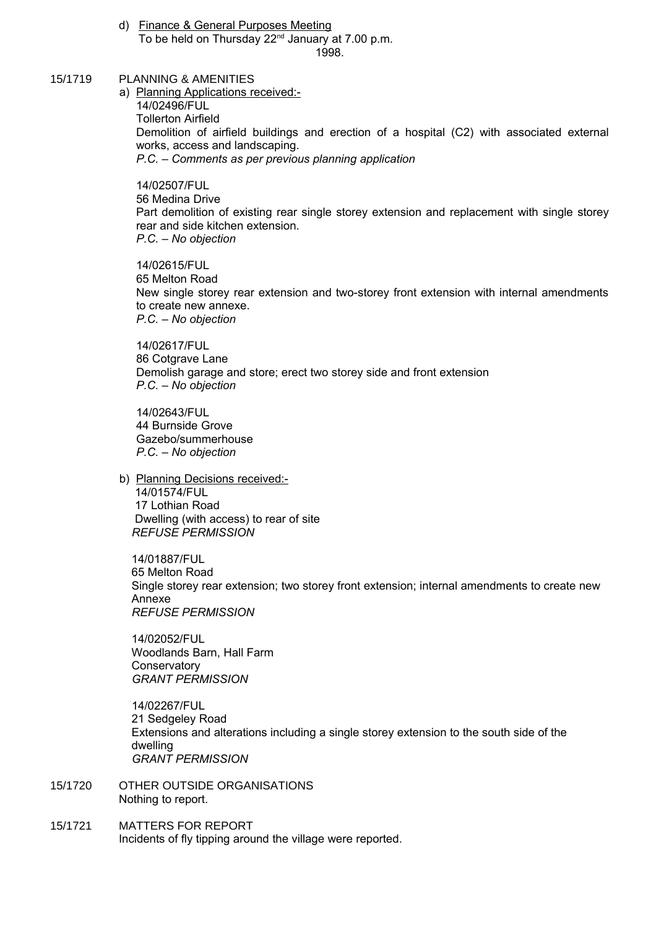- d) Finance & General Purposes Meeting To be held on Thursday 22<sup>nd</sup> January at 7.00 p.m. 1998.
- 15/1719 PLANNING & AMENITIES

 a) Planning Applications received:- 14/02496/FUL Tollerton Airfield Demolition of airfield buildings and erection of a hospital (C2) with associated external works, access and landscaping. *P.C. – Comments as per previous planning application*

14/02507/FUL 56 Medina Drive Part demolition of existing rear single storey extension and replacement with single storey rear and side kitchen extension. *P.C. – No objection*

14/02615/FUL 65 Melton Road New single storey rear extension and two-storey front extension with internal amendments to create new annexe. *P.C. – No objection*

14/02617/FUL 86 Cotgrave Lane Demolish garage and store; erect two storey side and front extension *P.C. – No objection*

14/02643/FUL 44 Burnside Grove Gazebo/summerhouse *P.C. – No objection*

 b) Planning Decisions received:- 14/01574/FUL 17 Lothian Road Dwelling (with access) to rear of site *REFUSE PERMISSION*

 14/01887/FUL 65 Melton Road Single storey rear extension; two storey front extension; internal amendments to create new Annexe *REFUSE PERMISSION*

 14/02052/FUL Woodlands Barn, Hall Farm **Conservatory** *GRANT PERMISSION*

14/02267/FUL 21 Sedgeley Road Extensions and alterations including a single storey extension to the south side of the dwelling *GRANT PERMISSION*

- 15/1720 OTHER OUTSIDE ORGANISATIONS Nothing to report.
- 15/1721 MATTERS FOR REPORT Incidents of fly tipping around the village were reported.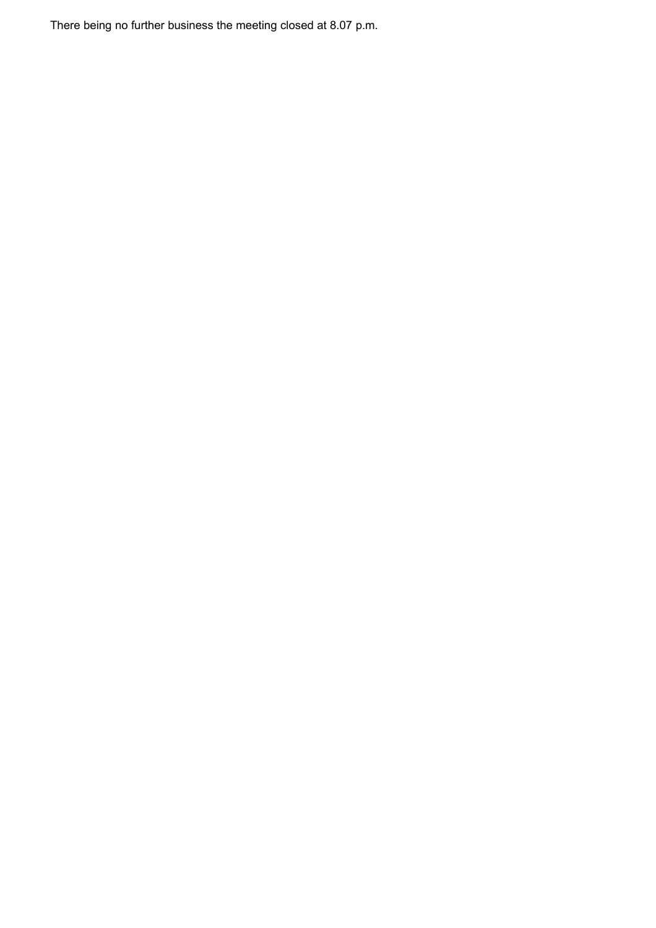There being no further business the meeting closed at 8.07 p.m.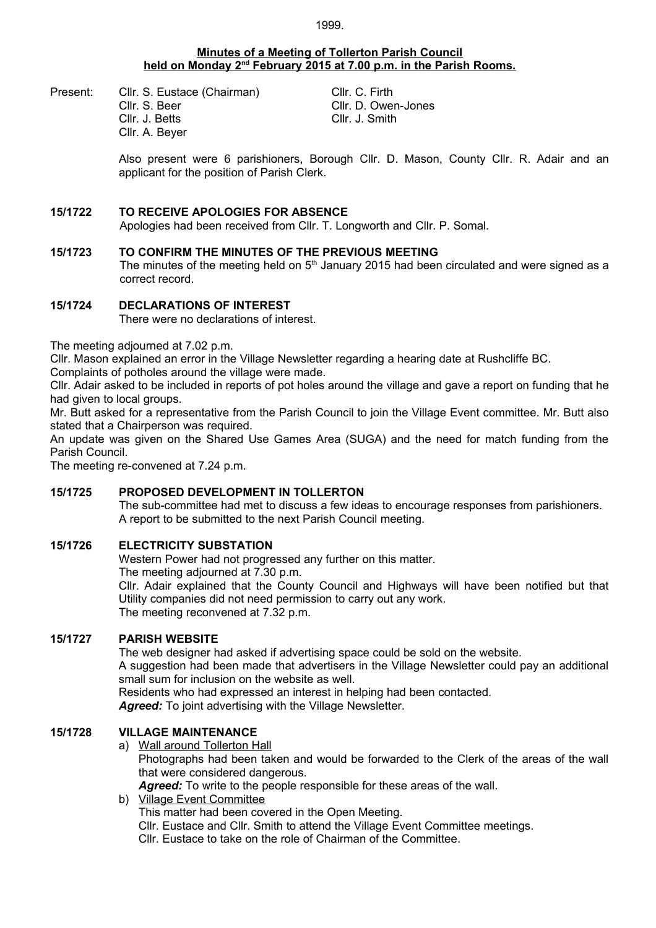#### **Minutes of a Meeting of Tollerton Parish Council held on Monday 2nd February 2015 at 7.00 p.m. in the Parish Rooms.**

Present: Cllr. S. Eustace (Chairman) Cllr. C. Firth Cllr. S. Beer Cllr. D. Owen-Jones Cllr. J. Betts Cllr. J. Smith Cllr. A. Beyer

Also present were 6 parishioners, Borough Cllr. D. Mason, County Cllr. R. Adair and an applicant for the position of Parish Clerk.

# **15/1722 TO RECEIVE APOLOGIES FOR ABSENCE**

Apologies had been received from Cllr. T. Longworth and Cllr. P. Somal.

#### **15/1723 TO CONFIRM THE MINUTES OF THE PREVIOUS MEETING**

The minutes of the meeting held on  $5<sup>th</sup>$  January 2015 had been circulated and were signed as a correct record.

# **15/1724 DECLARATIONS OF INTEREST**

There were no declarations of interest.

The meeting adjourned at 7.02 p.m.

Cllr. Mason explained an error in the Village Newsletter regarding a hearing date at Rushcliffe BC.

Complaints of potholes around the village were made.

Cllr. Adair asked to be included in reports of pot holes around the village and gave a report on funding that he had given to local groups.

Mr. Butt asked for a representative from the Parish Council to join the Village Event committee. Mr. Butt also stated that a Chairperson was required.

An update was given on the Shared Use Games Area (SUGA) and the need for match funding from the Parish Council.

The meeting re-convened at 7.24 p.m.

#### **15/1725 PROPOSED DEVELOPMENT IN TOLLERTON**

The sub-committee had met to discuss a few ideas to encourage responses from parishioners. A report to be submitted to the next Parish Council meeting.

# **15/1726 ELECTRICITY SUBSTATION**

Western Power had not progressed any further on this matter.

The meeting adjourned at 7.30 p.m.

Cllr. Adair explained that the County Council and Highways will have been notified but that Utility companies did not need permission to carry out any work. The meeting reconvened at 7.32 p.m.

#### **15/1727 PARISH WEBSITE**

The web designer had asked if advertising space could be sold on the website.

A suggestion had been made that advertisers in the Village Newsletter could pay an additional small sum for inclusion on the website as well.

Residents who had expressed an interest in helping had been contacted.

*Agreed:* To joint advertising with the Village Newsletter.

#### **15/1728 VILLAGE MAINTENANCE**

- a) Wall around Tollerton Hall Photographs had been taken and would be forwarded to the Clerk of the areas of the wall that were considered dangerous. *Agreed:* To write to the people responsible for these areas of the wall.
- b) Village Event Committee This matter had been covered in the Open Meeting. Cllr. Eustace and Cllr. Smith to attend the Village Event Committee meetings. Cllr. Eustace to take on the role of Chairman of the Committee.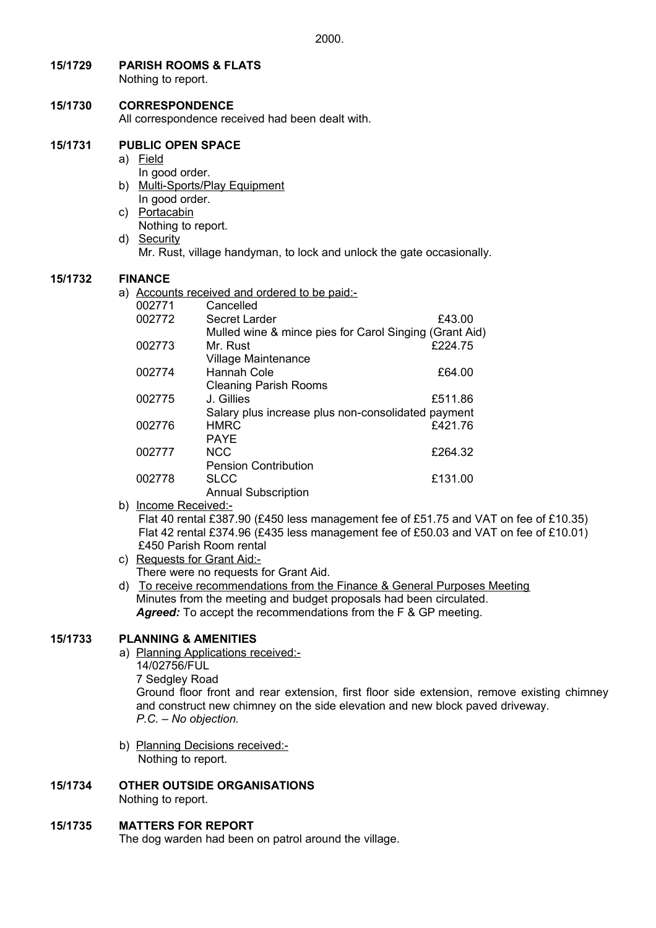**15/1729 PARISH ROOMS & FLATS**

Nothing to report.

# **15/1730 CORRESPONDENCE**

All correspondence received had been dealt with.

#### **15/1731 PUBLIC OPEN SPACE**

- a) Field
- In good order. b) Multi-Sports/Play Equipment
- In good order. c) Portacabin
- Nothing to report.
- d) Security
	- Mr. Rust, village handyman, to lock and unlock the gate occasionally.

# **15/1732 FINANCE**

a) Accounts received and ordered to be paid:-

| 002771 | Cancelled                                              |         |
|--------|--------------------------------------------------------|---------|
| 002772 | Secret Larder                                          | £43.00  |
|        | Mulled wine & mince pies for Carol Singing (Grant Aid) |         |
| 002773 | Mr. Rust                                               | £224.75 |
|        | <b>Village Maintenance</b>                             |         |
| 002774 | Hannah Cole                                            | £64.00  |
|        | <b>Cleaning Parish Rooms</b>                           |         |
| 002775 | J. Gillies                                             | £511.86 |
|        | Salary plus increase plus non-consolidated payment     |         |
| 002776 | <b>HMRC</b>                                            | £421.76 |
|        | <b>PAYE</b>                                            |         |
| 002777 | <b>NCC</b>                                             | £264.32 |
|        | <b>Pension Contribution</b>                            |         |
| 002778 | <b>SLCC</b>                                            | £131.00 |
|        | <b>Annual Subscription</b>                             |         |

b) Income Received:-

Flat 40 rental £387.90 (£450 less management fee of £51.75 and VAT on fee of £10.35) Flat 42 rental £374.96 (£435 less management fee of £50.03 and VAT on fee of £10.01) £450 Parish Room rental

- c) Requests for Grant Aid:- There were no requests for Grant Aid.
- d) To receive recommendations from the Finance & General Purposes Meeting Minutes from the meeting and budget proposals had been circulated. *Agreed:* To accept the recommendations from the F & GP meeting.

# **15/1733 PLANNING & AMENITIES**

- a) Planning Applications received:- 14/02756/FUL 7 Sedgley Road Ground floor front and rear extension, first floor side extension, remove existing chimney and construct new chimney on the side elevation and new block paved driveway. *P.C. – No objection.*
- b) Planning Decisions received:- Nothing to report.
- **15/1734 OTHER OUTSIDE ORGANISATIONS** Nothing to report.

# **15/1735 MATTERS FOR REPORT**

The dog warden had been on patrol around the village.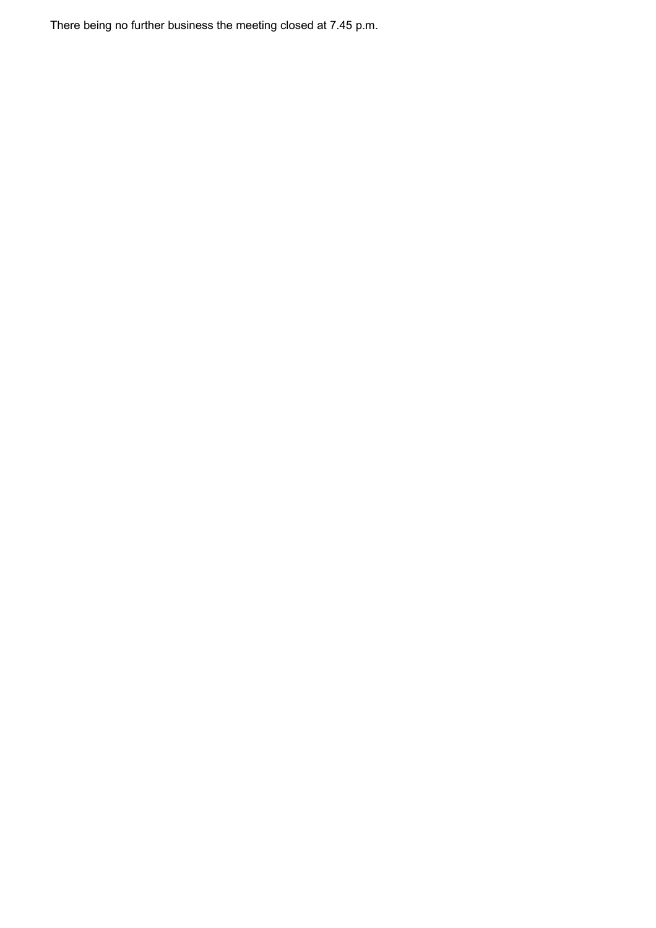There being no further business the meeting closed at 7.45 p.m.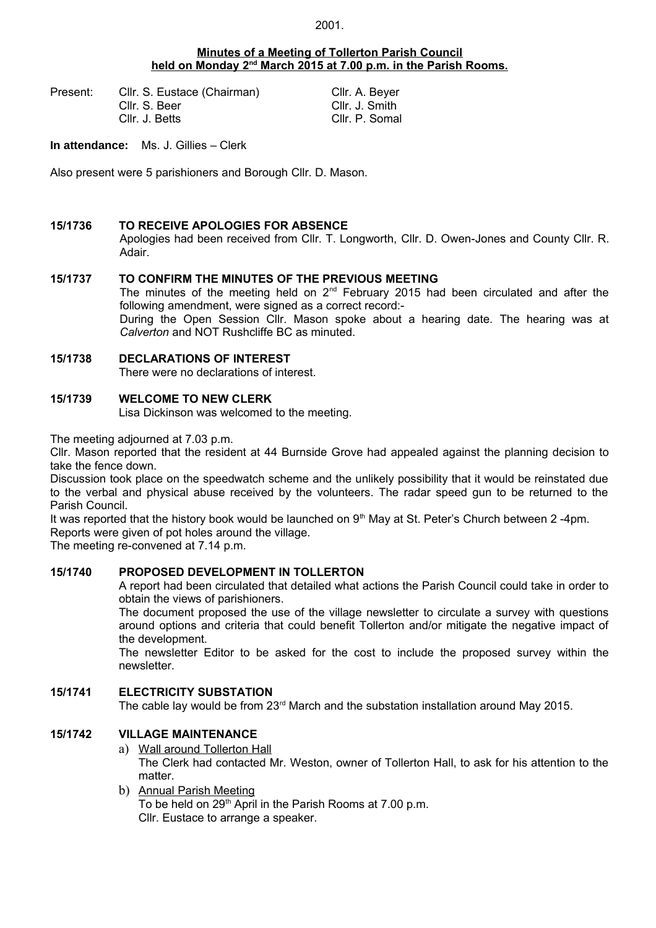#### **Minutes of a Meeting of Tollerton Parish Council held on Monday 2nd March 2015 at 7.00 p.m. in the Parish Rooms.**

Present: Cllr. S. Eustace (Chairman) Cllr. A. Beyer Cllr. S. Beer Cllr. J. Smith Cllr. J. Betts Cllr. P. Somal

**In attendance:** Ms. J. Gillies – Clerk

Also present were 5 parishioners and Borough Cllr. D. Mason.

#### **15/1736 TO RECEIVE APOLOGIES FOR ABSENCE**

Apologies had been received from Cllr. T. Longworth, Cllr. D. Owen-Jones and County Cllr. R. Adair.

#### **15/1737 TO CONFIRM THE MINUTES OF THE PREVIOUS MEETING**

The minutes of the meeting held on  $2^{nd}$  February 2015 had been circulated and after the following amendment, were signed as a correct record:-

During the Open Session Cllr. Mason spoke about a hearing date. The hearing was at *Calverton* and NOT Rushcliffe BC as minuted.

# **15/1738 DECLARATIONS OF INTEREST**

There were no declarations of interest.

#### **15/1739 WELCOME TO NEW CLERK**

Lisa Dickinson was welcomed to the meeting.

The meeting adjourned at 7.03 p.m.

Cllr. Mason reported that the resident at 44 Burnside Grove had appealed against the planning decision to take the fence down.

Discussion took place on the speedwatch scheme and the unlikely possibility that it would be reinstated due to the verbal and physical abuse received by the volunteers. The radar speed gun to be returned to the Parish Council.

It was reported that the history book would be launched on  $9<sup>th</sup>$  May at St. Peter's Church between 2-4pm. Reports were given of pot holes around the village.

The meeting re-convened at 7.14 p.m.

#### **15/1740 PROPOSED DEVELOPMENT IN TOLLERTON**

A report had been circulated that detailed what actions the Parish Council could take in order to obtain the views of parishioners.

The document proposed the use of the village newsletter to circulate a survey with questions around options and criteria that could benefit Tollerton and/or mitigate the negative impact of the development.

The newsletter Editor to be asked for the cost to include the proposed survey within the newsletter.

#### **15/1741 ELECTRICITY SUBSTATION**

The cable lay would be from  $23<sup>rd</sup>$  March and the substation installation around May 2015.

# **15/1742 VILLAGE MAINTENANCE**

- a) Wall around Tollerton Hall The Clerk had contacted Mr. Weston, owner of Tollerton Hall, to ask for his attention to the matter.
- b) Annual Parish Meeting To be held on  $29<sup>th</sup>$  April in the Parish Rooms at 7.00 p.m. Cllr. Eustace to arrange a speaker.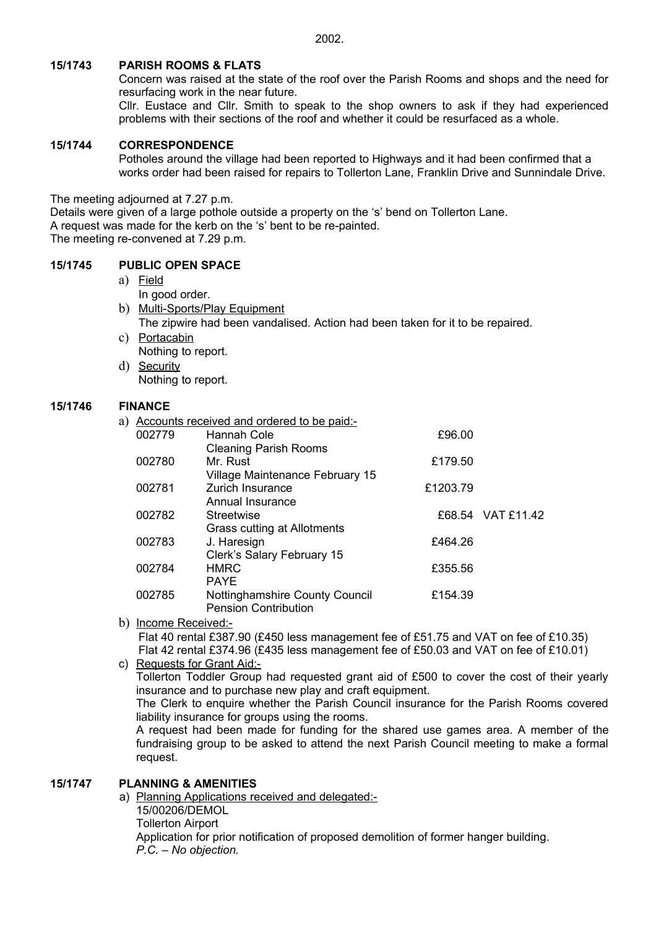# **15/1743 PARISH ROOMS & FLATS**

Concern was raised at the state of the roof over the Parish Rooms and shops and the need for resurfacing work in the near future.

Cllr. Eustace and Cllr. Smith to speak to the shop owners to ask if they had experienced problems with their sections of the roof and whether it could be resurfaced as a whole.

#### **15/1744 CORRESPONDENCE**

Potholes around the village had been reported to Highways and it had been confirmed that a works order had been raised for repairs to Tollerton Lane, Franklin Drive and Sunnindale Drive.

The meeting adjourned at 7.27 p.m.

Details were given of a large pothole outside a property on the 's' bend on Tollerton Lane.

A request was made for the kerb on the 's' bent to be re-painted.

The meeting re-convened at 7.29 p.m.

#### **15/1745 PUBLIC OPEN SPACE**

- a) Field
- In good order. b) Multi-Sports/Play Equipment The zipwire had been vandalised. Action had been taken for it to be repaired.
	- c) Portacabin Nothing to report.
	- d) Security Nothing to report.

#### **15/1746 FINANCE**

a) Accounts received and ordered to be paid:-

|        | socialities in collection of all and the set paid. |          |                   |
|--------|----------------------------------------------------|----------|-------------------|
| 002779 | Hannah Cole                                        | £96.00   |                   |
|        | <b>Cleaning Parish Rooms</b>                       |          |                   |
| 002780 | Mr. Rust                                           | £179.50  |                   |
|        | Village Maintenance February 15                    |          |                   |
| 002781 | Zurich Insurance                                   | £1203.79 |                   |
|        | Annual Insurance                                   |          |                   |
| 002782 | Streetwise                                         |          | £68.54 VAT £11.42 |
|        | Grass cutting at Allotments                        |          |                   |
| 002783 | J. Haresign                                        | £464.26  |                   |
|        | Clerk's Salary February 15                         |          |                   |
| 002784 | <b>HMRC</b>                                        | £355.56  |                   |
|        | <b>PAYE</b>                                        |          |                   |
| 002785 | Nottinghamshire County Council                     | £154.39  |                   |
|        | <b>Pension Contribution</b>                        |          |                   |
|        |                                                    |          |                   |

# b) Income Received:- Flat 40 rental £387.90 (£450 less management fee of £51.75 and VAT on fee of £10.35) Flat 42 rental £374.96 (£435 less management fee of £50.03 and VAT on fee of £10.01)

c) Requests for Grant Aid:-

Tollerton Toddler Group had requested grant aid of £500 to cover the cost of their yearly insurance and to purchase new play and craft equipment.

The Clerk to enquire whether the Parish Council insurance for the Parish Rooms covered liability insurance for groups using the rooms.

A request had been made for funding for the shared use games area. A member of the fundraising group to be asked to attend the next Parish Council meeting to make a formal request.

#### **15/1747 PLANNING & AMENITIES**

 a) Planning Applications received and delegated:- 15/00206/DEMOL Tollerton Airport Application for prior notification of proposed demolition of former hanger building. *P.C. – No objection.*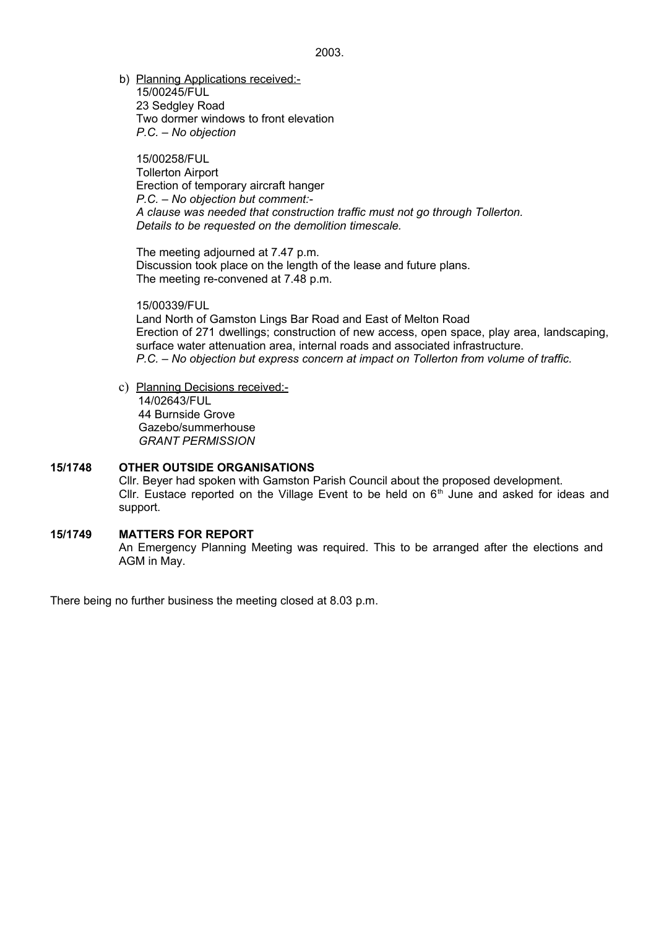b) Planning Applications received:- 15/00245/FUL 23 Sedgley Road Two dormer windows to front elevation *P.C. – No objection*

15/00258/FUL Tollerton Airport Erection of temporary aircraft hanger *P.C. – No objection but comment:- A clause was needed that construction traffic must not go through Tollerton. Details to be requested on the demolition timescale.*

The meeting adjourned at 7.47 p.m. Discussion took place on the length of the lease and future plans. The meeting re-convened at 7.48 p.m.

15/00339/FUL Land North of Gamston Lings Bar Road and East of Melton Road Erection of 271 dwellings; construction of new access, open space, play area, landscaping, surface water attenuation area, internal roads and associated infrastructure. *P.C. – No objection but express concern at impact on Tollerton from volume of traffic.*

c) Planning Decisions received:- 14/02643/FUL 44 Burnside Grove Gazebo/summerhouse *GRANT PERMISSION*

# **15/1748 OTHER OUTSIDE ORGANISATIONS**

Cllr. Beyer had spoken with Gamston Parish Council about the proposed development. Cllr. Eustace reported on the Village Event to be held on  $6<sup>th</sup>$  June and asked for ideas and support.

#### **15/1749 MATTERS FOR REPORT** An Emergency Planning Meeting was required. This to be arranged after the elections and AGM in May.

There being no further business the meeting closed at 8.03 p.m.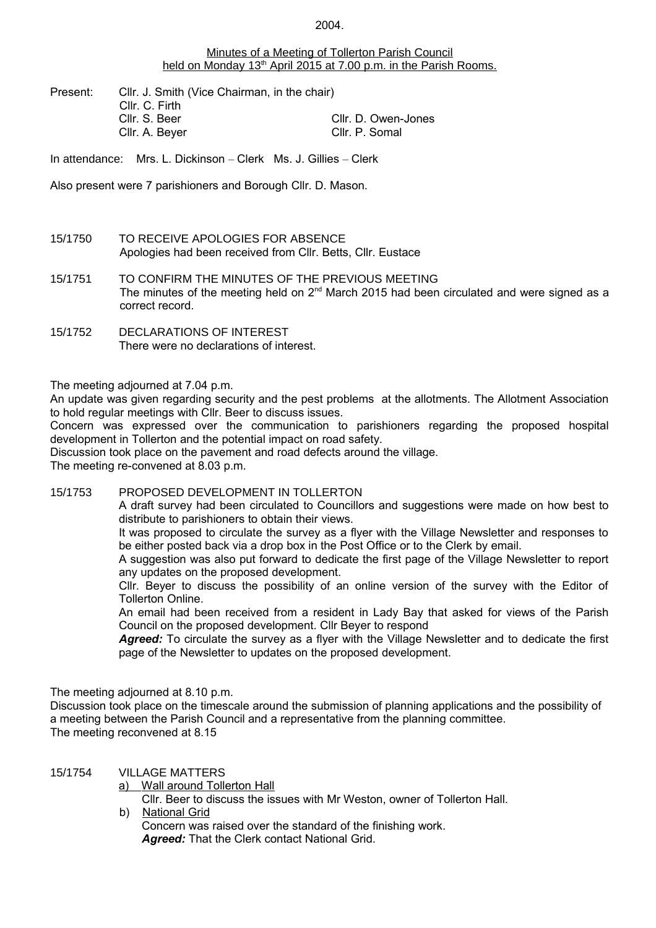#### Minutes of a Meeting of Tollerton Parish Council held on Monday 13<sup>th</sup> April 2015 at 7.00 p.m. in the Parish Rooms.

Present: Cllr. J. Smith (Vice Chairman, in the chair) Cllr. C. Firth Cllr. S. Beer Cllr. D. Owen-Jones Cllr. A. Beyer Cllr. P. Somal

In attendance: Mrs. L. Dickinson – Clerk Ms. J. Gillies – Clerk

Also present were 7 parishioners and Borough Cllr. D. Mason.

- 15/1750 TO RECEIVE APOLOGIES FOR ABSENCE Apologies had been received from Cllr. Betts, Cllr. Eustace
- 15/1751 TO CONFIRM THE MINUTES OF THE PREVIOUS MEETING The minutes of the meeting held on 2<sup>nd</sup> March 2015 had been circulated and were signed as a correct record.
- 15/1752 DECLARATIONS OF INTEREST There were no declarations of interest.

The meeting adjourned at 7.04 p.m.

An update was given regarding security and the pest problems at the allotments. The Allotment Association to hold regular meetings with Cllr. Beer to discuss issues.

Concern was expressed over the communication to parishioners regarding the proposed hospital development in Tollerton and the potential impact on road safety.

Discussion took place on the pavement and road defects around the village.

The meeting re-convened at 8.03 p.m.

# 15/1753 PROPOSED DEVELOPMENT IN TOLLERTON

A draft survey had been circulated to Councillors and suggestions were made on how best to distribute to parishioners to obtain their views.

It was proposed to circulate the survey as a flyer with the Village Newsletter and responses to be either posted back via a drop box in the Post Office or to the Clerk by email.

A suggestion was also put forward to dedicate the first page of the Village Newsletter to report any updates on the proposed development.

Cllr. Beyer to discuss the possibility of an online version of the survey with the Editor of Tollerton Online.

An email had been received from a resident in Lady Bay that asked for views of the Parish Council on the proposed development. Cllr Beyer to respond

*Agreed:* To circulate the survey as a flyer with the Village Newsletter and to dedicate the first page of the Newsletter to updates on the proposed development.

The meeting adjourned at 8.10 p.m.

Discussion took place on the timescale around the submission of planning applications and the possibility of a meeting between the Parish Council and a representative from the planning committee. The meeting reconvened at 8.15

#### 15/1754 VILLAGE MATTERS

a) Wall around Tollerton Hall

Cllr. Beer to discuss the issues with Mr Weston, owner of Tollerton Hall.

 b) National Grid Concern was raised over the standard of the finishing work.  *Agreed:* That the Clerk contact National Grid.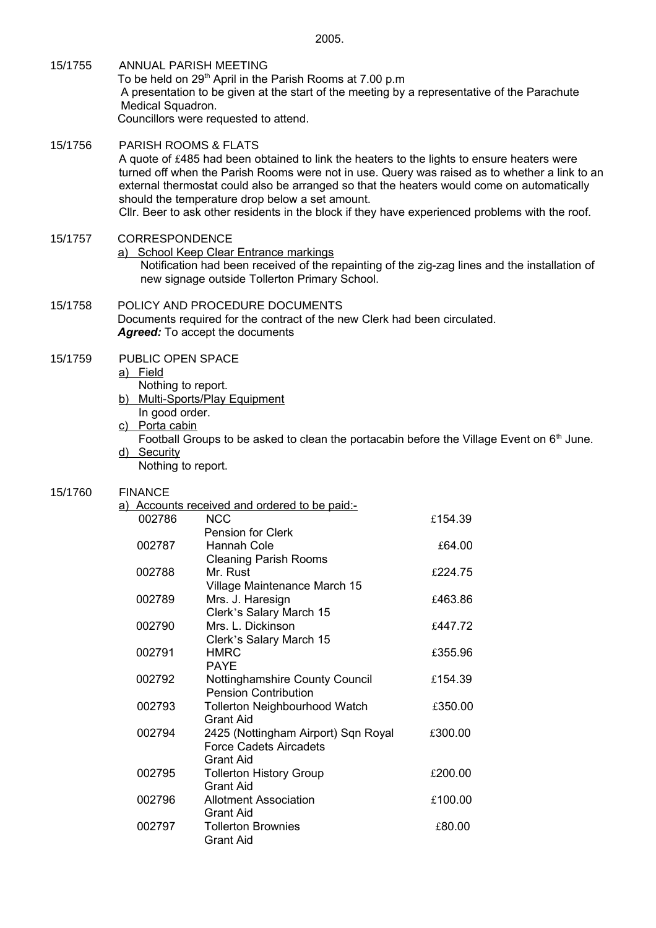- 15/1755 ANNUAL PARISH MEETING To be held on 29<sup>th</sup> April in the Parish Rooms at 7.00 p.m A presentation to be given at the start of the meeting by a representative of the Parachute Medical Squadron. Councillors were requested to attend.
- 15/1756 PARISH ROOMS & FLATS A quote of £485 had been obtained to link the heaters to the lights to ensure heaters were turned off when the Parish Rooms were not in use. Query was raised as to whether a link to an external thermostat could also be arranged so that the heaters would come on automatically should the temperature drop below a set amount. Cllr. Beer to ask other residents in the block if they have experienced problems with the roof.

#### 15/1757 CORRESPONDENCE

a) School Keep Clear Entrance markings

Notification had been received of the repainting of the zig-zag lines and the installation of new signage outside Tollerton Primary School.

15/1758 POLICY AND PROCEDURE DOCUMENTS Documents required for the contract of the new Clerk had been circulated. *Agreed:* To accept the documents

#### 15/1759 PUBLIC OPEN SPACE

a) Field

- Nothing to report.
- b) Multi-Sports/Play Equipment
	- In good order.
- c) Porta cabin
- Football Groups to be asked to clean the portacabin before the Village Event on  $6<sup>th</sup>$  June. d) Security
- Nothing to report.

#### 15/1760 FINANCE

|        | a) Accounts received and ordered to be paid:- |         |
|--------|-----------------------------------------------|---------|
| 002786 | <b>NCC</b>                                    | £154.39 |
|        | Pension for Clerk                             |         |
| 002787 | Hannah Cole                                   | £64.00  |
|        | <b>Cleaning Parish Rooms</b>                  |         |
| 002788 | Mr. Rust                                      | £224.75 |
|        | Village Maintenance March 15                  |         |
| 002789 | Mrs. J. Haresign                              | £463.86 |
|        | Clerk's Salary March 15                       |         |
| 002790 | Mrs. L. Dickinson                             | £447.72 |
|        | Clerk's Salary March 15                       |         |
| 002791 | <b>HMRC</b>                                   | £355.96 |
|        | <b>PAYE</b>                                   |         |
| 002792 | Nottinghamshire County Council                | £154.39 |
|        | <b>Pension Contribution</b>                   |         |
| 002793 | <b>Tollerton Neighbourhood Watch</b>          | £350.00 |
|        | <b>Grant Aid</b>                              |         |
| 002794 | 2425 (Nottingham Airport) Sqn Royal           | £300.00 |
|        | <b>Force Cadets Aircadets</b>                 |         |
|        | <b>Grant Aid</b>                              |         |
| 002795 | <b>Tollerton History Group</b>                | £200.00 |
|        | <b>Grant Aid</b>                              |         |
| 002796 | Allotment Association                         | £100.00 |
|        | <b>Grant Aid</b>                              |         |
| 002797 | <b>Tollerton Brownies</b><br>Grant Aid        | £80.00  |
|        |                                               |         |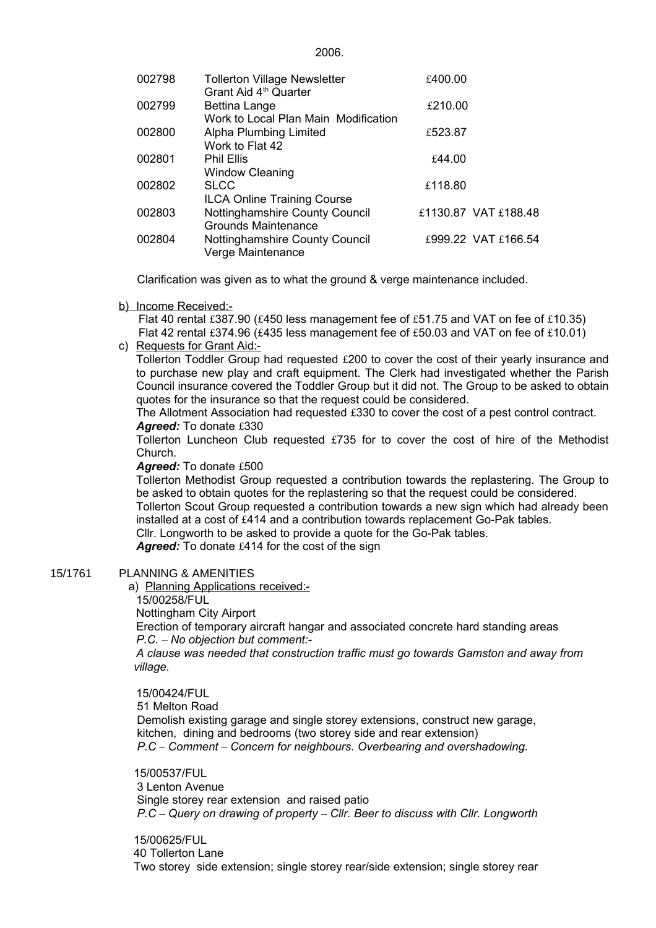| 002798 | <b>Tollerton Village Newsletter</b><br>Grant Aid 4 <sup>th</sup> Quarter                    | £400.00 |                      |
|--------|---------------------------------------------------------------------------------------------|---------|----------------------|
| 002799 | <b>Bettina Lange</b>                                                                        | £210.00 |                      |
| 002800 | Work to Local Plan Main Modification<br>Alpha Plumbing Limited<br>Work to Flat 42           | £523.87 |                      |
| 002801 | <b>Phil Ellis</b>                                                                           | £44.00  |                      |
| 002802 | <b>Window Cleaning</b><br><b>SLCC</b>                                                       | £118.80 |                      |
| 002803 | <b>ILCA Online Training Course</b><br>Nottinghamshire County Council<br>Grounds Maintenance |         | £1130.87 VAT £188.48 |
| 002804 | Nottinghamshire County Council<br>Verge Maintenance                                         |         | £999.22 VAT £166.54  |
|        |                                                                                             |         |                      |

Clarification was given as to what the ground & verge maintenance included.

b) Income Received:-

Flat 40 rental £387.90 (£450 less management fee of £51.75 and VAT on fee of £10.35) Flat 42 rental £374.96 (£435 less management fee of £50.03 and VAT on fee of £10.01)

c) Requests for Grant Aid:-

Tollerton Toddler Group had requested £200 to cover the cost of their yearly insurance and to purchase new play and craft equipment. The Clerk had investigated whether the Parish Council insurance covered the Toddler Group but it did not. The Group to be asked to obtain quotes for the insurance so that the request could be considered.

The Allotment Association had requested £330 to cover the cost of a pest control contract. Agreed: To donate £330

Tollerton Luncheon Club requested £735 for to cover the cost of hire of the Methodist Church.

Agreed: To donate £500

Tollerton Methodist Group requested a contribution towards the replastering. The Group to be asked to obtain quotes for the replastering so that the request could be considered.

Tollerton Scout Group requested a contribution towards a new sign which had already been installed at a cost of £414 and a contribution towards replacement Go-Pak tables.

Cllr. Longworth to be asked to provide a quote for the Go-Pak tables.

*Agreed:* To donate £414 for the cost of the sign

# 15/1761 PLANNING & AMENITIES

a) Planning Applications received:-

15/00258/FUL

Nottingham City Airport

Erection of temporary aircraft hangar and associated concrete hard standing areas *P.C. – No objection but comment:-*

*A clause was needed that construction traffic must go towards Gamston and away from village.*

 15/00424/FUL 51 Melton Road Demolish existing garage and single storey extensions, construct new garage, kitchen, dining and bedrooms (two storey side and rear extension) *P.C – Comment – Concern for neighbours. Overbearing and overshadowing.*

15/00537/FUL

3 Lenton Avenue

 Single storey rear extension and raised patio *P.C – Query on drawing of property – Cllr. Beer to discuss with Cllr. Longworth*

15/00625/FUL 40 Tollerton Lane Two storey side extension; single storey rear/side extension; single storey rear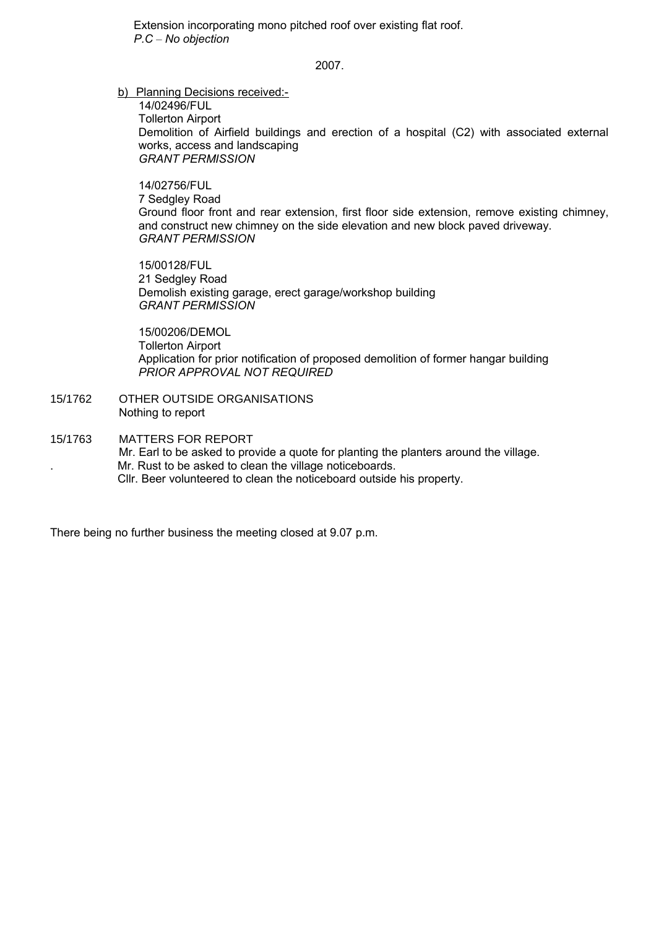Extension incorporating mono pitched roof over existing flat roof. *P.C – No objection*

2007.

b) Planning Decisions received:-

14/02496/FUL Tollerton Airport Demolition of Airfield buildings and erection of a hospital (C2) with associated external works, access and landscaping *GRANT PERMISSION*

14/02756/FUL 7 Sedgley Road Ground floor front and rear extension, first floor side extension, remove existing chimney, and construct new chimney on the side elevation and new block paved driveway. *GRANT PERMISSION*

15/00128/FUL 21 Sedgley Road Demolish existing garage, erect garage/workshop building *GRANT PERMISSION*

15/00206/DEMOL Tollerton Airport Application for prior notification of proposed demolition of former hangar building *PRIOR APPROVAL NOT REQUIRED*

- 15/1762 OTHER OUTSIDE ORGANISATIONS Nothing to report
- 15/1763 MATTERS FOR REPORT Mr. Earl to be asked to provide a quote for planting the planters around the village. . Mr. Rust to be asked to clean the village noticeboards. Cllr. Beer volunteered to clean the noticeboard outside his property.

There being no further business the meeting closed at 9.07 p.m.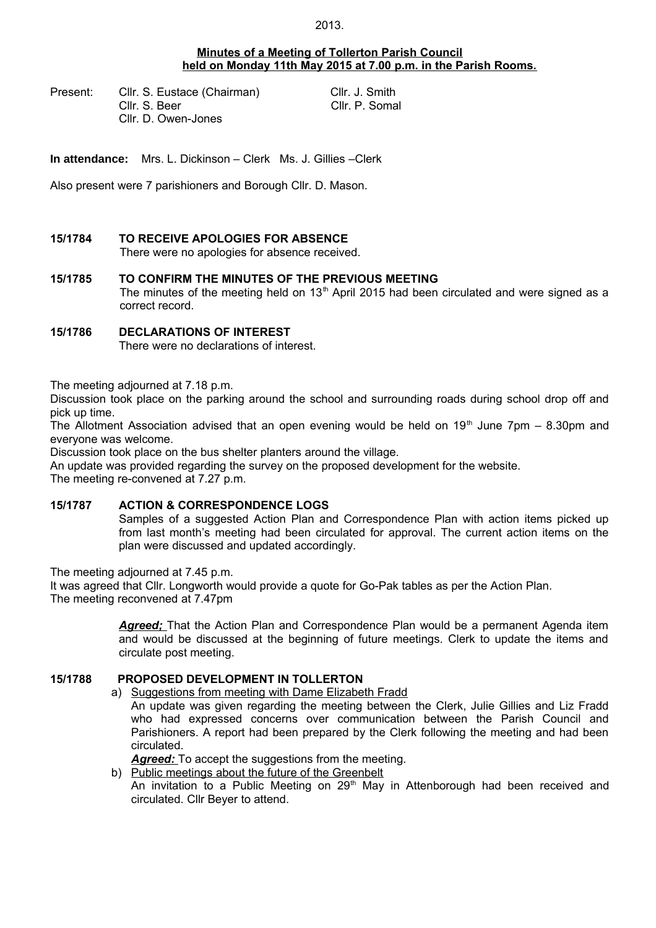#### **Minutes of a Meeting of Tollerton Parish Council held on Monday 11th May 2015 at 7.00 p.m. in the Parish Rooms.**

Present: Cllr. S. Eustace (Chairman) Cllr. J. Smith Cllr. S. Beer Cllr. P. Somal Cllr. D. Owen-Jones

**In attendance:** Mrs. L. Dickinson – Clerk Ms. J. Gillies –Clerk

Also present were 7 parishioners and Borough Cllr. D. Mason.

#### **15/1784 TO RECEIVE APOLOGIES FOR ABSENCE**

There were no apologies for absence received.

#### **15/1785 TO CONFIRM THE MINUTES OF THE PREVIOUS MEETING** The minutes of the meeting held on  $13<sup>th</sup>$  April 2015 had been circulated and were signed as a correct record.

# **15/1786 DECLARATIONS OF INTEREST**

There were no declarations of interest.

The meeting adjourned at 7.18 p.m.

Discussion took place on the parking around the school and surrounding roads during school drop off and pick up time.

The Allotment Association advised that an open evening would be held on  $19<sup>th</sup>$  June 7pm – 8.30pm and everyone was welcome.

Discussion took place on the bus shelter planters around the village.

An update was provided regarding the survey on the proposed development for the website.

The meeting re-convened at 7.27 p.m.

#### **15/1787 ACTION & CORRESPONDENCE LOGS**

Samples of a suggested Action Plan and Correspondence Plan with action items picked up from last month's meeting had been circulated for approval. The current action items on the plan were discussed and updated accordingly.

The meeting adjourned at 7.45 p.m.

It was agreed that Cllr. Longworth would provide a quote for Go-Pak tables as per the Action Plan. The meeting reconvened at 7.47pm

> Agreed; That the Action Plan and Correspondence Plan would be a permanent Agenda item and would be discussed at the beginning of future meetings. Clerk to update the items and circulate post meeting.

# **15/1788 PROPOSED DEVELOPMENT IN TOLLERTON**

#### a) Suggestions from meeting with Dame Elizabeth Fradd

An update was given regarding the meeting between the Clerk, Julie Gillies and Liz Fradd who had expressed concerns over communication between the Parish Council and Parishioners. A report had been prepared by the Clerk following the meeting and had been circulated.

Agreed: To accept the suggestions from the meeting.

b) Public meetings about the future of the Greenbelt

An invitation to a Public Meeting on 29<sup>th</sup> May in Attenborough had been received and circulated. Cllr Beyer to attend.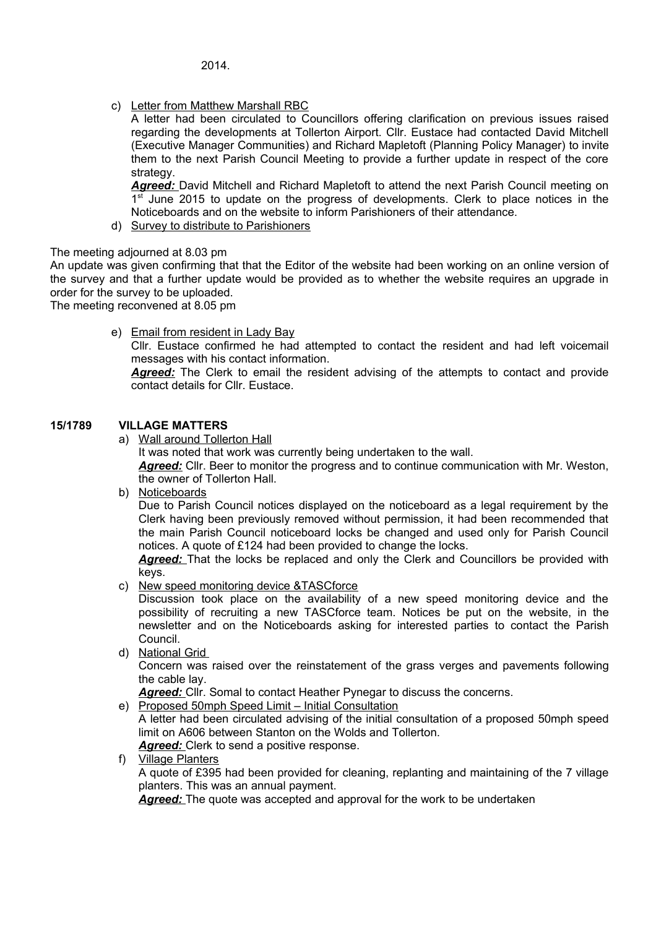c) Letter from Matthew Marshall RBC

A letter had been circulated to Councillors offering clarification on previous issues raised regarding the developments at Tollerton Airport. Cllr. Eustace had contacted David Mitchell (Executive Manager Communities) and Richard Mapletoft (Planning Policy Manager) to invite them to the next Parish Council Meeting to provide a further update in respect of the core strategy.

Agreed: David Mitchell and Richard Mapletoft to attend the next Parish Council meeting on 1<sup>st</sup> June 2015 to update on the progress of developments. Clerk to place notices in the Noticeboards and on the website to inform Parishioners of their attendance.

d) Survey to distribute to Parishioners

# The meeting adjourned at 8.03 pm

An update was given confirming that that the Editor of the website had been working on an online version of the survey and that a further update would be provided as to whether the website requires an upgrade in order for the survey to be uploaded.

The meeting reconvened at 8.05 pm

e) Email from resident in Lady Bay Cllr. Eustace confirmed he had attempted to contact the resident and had left voicemail messages with his contact information.

*Agreed:* The Clerk to email the resident advising of the attempts to contact and provide contact details for Cllr. Eustace.

# **15/1789 VILLAGE MATTERS**

a) Wall around Tollerton Hall

It was noted that work was currently being undertaken to the wall. *Agreed:* Cllr. Beer to monitor the progress and to continue communication with Mr. Weston, the owner of Tollerton Hall.

b) Noticeboards

Due to Parish Council notices displayed on the noticeboard as a legal requirement by the Clerk having been previously removed without permission, it had been recommended that the main Parish Council noticeboard locks be changed and used only for Parish Council notices. A quote of £124 had been provided to change the locks.

*Agreed:* That the locks be replaced and only the Clerk and Councillors be provided with keys.

c) New speed monitoring device &TASCforce

Discussion took place on the availability of a new speed monitoring device and the possibility of recruiting a new TASCforce team. Notices be put on the website, in the newsletter and on the Noticeboards asking for interested parties to contact the Parish Council.

d) National Grid

Concern was raised over the reinstatement of the grass verges and pavements following the cable lay.

Agreed: Cllr. Somal to contact Heather Pynegar to discuss the concerns.

e) Proposed 50mph Speed Limit – Initial Consultation

A letter had been circulated advising of the initial consultation of a proposed 50mph speed limit on A606 between Stanton on the Wolds and Tollerton.

*Agreed:* Clerk to send a positive response.

f) Village Planters

A quote of £395 had been provided for cleaning, replanting and maintaining of the 7 village planters. This was an annual payment.

Agreed: The quote was accepted and approval for the work to be undertaken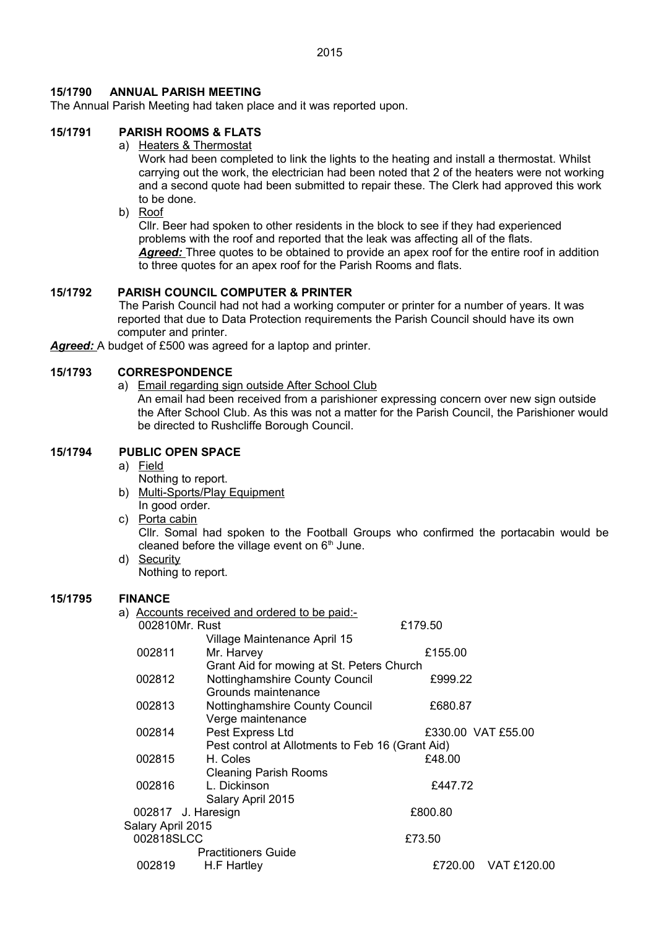2015

# **15/1790 ANNUAL PARISH MEETING**

The Annual Parish Meeting had taken place and it was reported upon.

# **15/1791 PARISH ROOMS & FLATS**

a) Heaters & Thermostat

Work had been completed to link the lights to the heating and install a thermostat. Whilst carrying out the work, the electrician had been noted that 2 of the heaters were not working and a second quote had been submitted to repair these. The Clerk had approved this work to be done.

b) Roof

Cllr. Beer had spoken to other residents in the block to see if they had experienced problems with the roof and reported that the leak was affecting all of the flats. Agreed: Three quotes to be obtained to provide an apex roof for the entire roof in addition to three quotes for an apex roof for the Parish Rooms and flats.

# **15/1792 PARISH COUNCIL COMPUTER & PRINTER**

The Parish Council had not had a working computer or printer for a number of years. It was reported that due to Data Protection requirements the Parish Council should have its own computer and printer.

*Agreed:* A budget of £500 was agreed for a laptop and printer.

#### **15/1793 CORRESPONDENCE**

a) Email regarding sign outside After School Club An email had been received from a parishioner expressing concern over new sign outside the After School Club. As this was not a matter for the Parish Council, the Parishioner would be directed to Rushcliffe Borough Council.

# **15/1794 PUBLIC OPEN SPACE**

#### a) Field

- Nothing to report.
- b) Multi-Sports/Play Equipment In good order.
- c) Porta cabin Cllr. Somal had spoken to the Football Groups who confirmed the portacabin would be cleaned before the village event on  $6<sup>th</sup>$  June. d) Security

Nothing to report.

#### **15/1795 FINANCE**

|                   | a) Accounts received and ordered to be paid:-    |                    |             |
|-------------------|--------------------------------------------------|--------------------|-------------|
| 002810Mr. Rust    |                                                  | £179.50            |             |
|                   | Village Maintenance April 15                     |                    |             |
| 002811            | Mr. Harvey                                       | £155.00            |             |
|                   | Grant Aid for mowing at St. Peters Church        |                    |             |
| 002812            | Nottinghamshire County Council                   | £999.22            |             |
|                   | Grounds maintenance                              |                    |             |
| 002813            | Nottinghamshire County Council                   | £680.87            |             |
|                   | Verge maintenance                                |                    |             |
| 002814            | Pest Express Ltd                                 | £330.00 VAT £55.00 |             |
|                   | Pest control at Allotments to Feb 16 (Grant Aid) |                    |             |
| 002815            | H. Coles                                         | £48.00             |             |
|                   | <b>Cleaning Parish Rooms</b>                     |                    |             |
| 002816            | L. Dickinson                                     | £447.72            |             |
|                   | Salary April 2015                                |                    |             |
|                   | 002817 J. Haresign                               | £800.80            |             |
| Salary April 2015 |                                                  |                    |             |
| 002818SLCC        |                                                  | £73.50             |             |
|                   | <b>Practitioners Guide</b>                       |                    |             |
| 002819            | H.F Hartley                                      | £720.00            | VAT £120.00 |
|                   |                                                  |                    |             |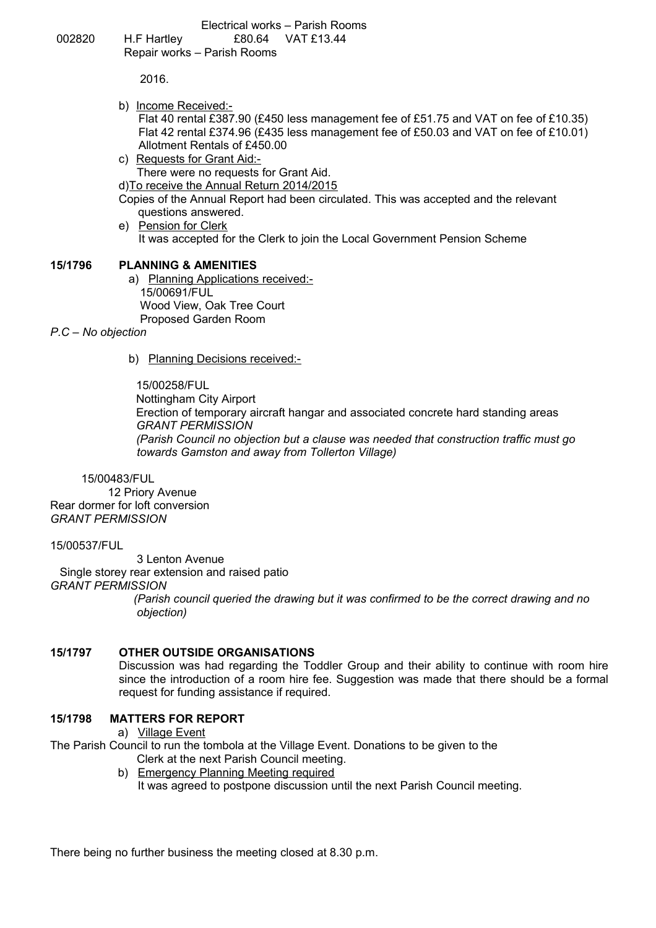Electrical works – Parish Rooms 002820 H.F Hartley £80.64 VAT £13.44 Repair works – Parish Rooms

2016.

b) Income Received:-

Flat 40 rental £387.90 (£450 less management fee of £51.75 and VAT on fee of £10.35) Flat 42 rental £374.96 (£435 less management fee of £50.03 and VAT on fee of £10.01) Allotment Rentals of £450.00

- c) Requests for Grant Aid:- There were no requests for Grant Aid. d)To receive the Annual Return 2014/2015 Copies of the Annual Report had been circulated. This was accepted and the relevant
- questions answered. e) Pension for Clerk It was accepted for the Clerk to join the Local Government Pension Scheme

#### **15/1796 PLANNING & AMENITIES**

a) Planning Applications received:- 15/00691/FUL Wood View, Oak Tree Court Proposed Garden Room

*P.C – No objection*

b) Planning Decisions received:-

15/00258/FUL Nottingham City Airport Erection of temporary aircraft hangar and associated concrete hard standing areas *GRANT PERMISSION (Parish Council no objection but a clause was needed that construction traffic must go towards Gamston and away from Tollerton Village)*

15/00483/FUL

 12 Priory Avenue Rear dormer for loft conversion *GRANT PERMISSION*

15/00537/FUL

 3 Lenton Avenue Single storey rear extension and raised patio *GRANT PERMISSION (Parish council queried the drawing but it was confirmed to be the correct drawing and no objection)*

#### **15/1797 OTHER OUTSIDE ORGANISATIONS**

Discussion was had regarding the Toddler Group and their ability to continue with room hire since the introduction of a room hire fee. Suggestion was made that there should be a formal request for funding assistance if required.

#### **15/1798 MATTERS FOR REPORT**

a) Village Event

The Parish Council to run the tombola at the Village Event. Donations to be given to the Clerk at the next Parish Council meeting.

b) Emergency Planning Meeting required It was agreed to postpone discussion until the next Parish Council meeting.

There being no further business the meeting closed at 8.30 p.m.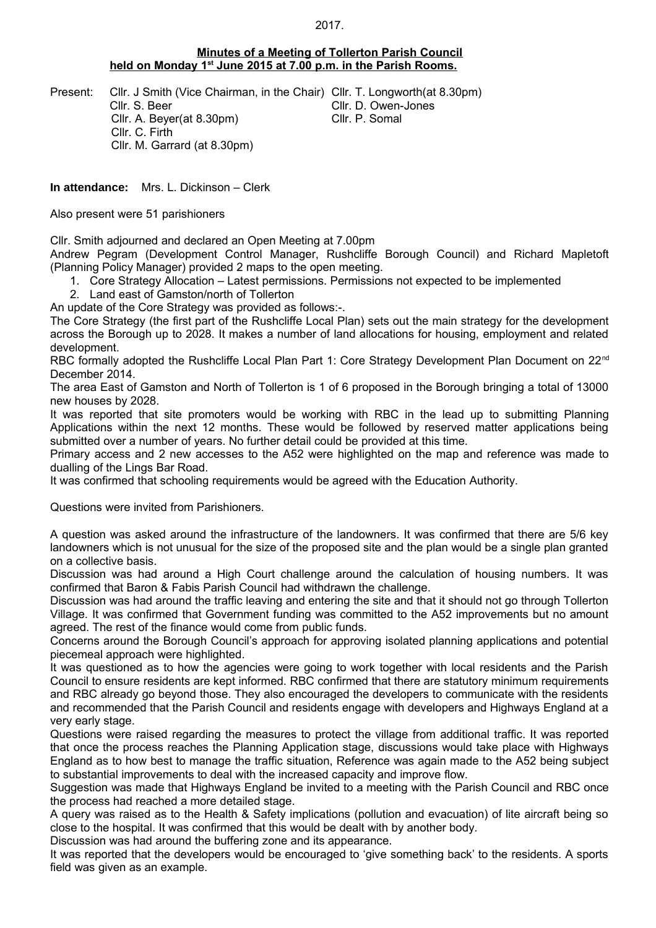#### **Minutes of a Meeting of Tollerton Parish Council held on Monday 1st June 2015 at 7.00 p.m. in the Parish Rooms.**

Cllr. S. Beer Cllr. D. Owen-Jones Cllr. A. Beyer(at 8.30pm) Cllr. P. Somal Cllr. C. Firth Cllr. M. Garrard (at 8.30pm)

Present: Cllr. J Smith (Vice Chairman, in the Chair) Cllr. T. Longworth(at 8.30pm)

**In attendance:** Mrs. L. Dickinson – Clerk

Also present were 51 parishioners

Cllr. Smith adjourned and declared an Open Meeting at 7.00pm

Andrew Pegram (Development Control Manager, Rushcliffe Borough Council) and Richard Mapletoft (Planning Policy Manager) provided 2 maps to the open meeting.

- 1. Core Strategy Allocation Latest permissions. Permissions not expected to be implemented
- 2. Land east of Gamston/north of Tollerton

An update of the Core Strategy was provided as follows:-.

The Core Strategy (the first part of the Rushcliffe Local Plan) sets out the main strategy for the development across the Borough up to 2028. It makes a number of land allocations for housing, employment and related development.

RBC formally adopted the Rushcliffe Local Plan Part 1: Core Strategy Development Plan Document on 22<sup>nd</sup> December 2014.

The area East of Gamston and North of Tollerton is 1 of 6 proposed in the Borough bringing a total of 13000 new houses by 2028.

It was reported that site promoters would be working with RBC in the lead up to submitting Planning Applications within the next 12 months. These would be followed by reserved matter applications being submitted over a number of years. No further detail could be provided at this time.

Primary access and 2 new accesses to the A52 were highlighted on the map and reference was made to dualling of the Lings Bar Road.

It was confirmed that schooling requirements would be agreed with the Education Authority.

Questions were invited from Parishioners.

A question was asked around the infrastructure of the landowners. It was confirmed that there are 5/6 key landowners which is not unusual for the size of the proposed site and the plan would be a single plan granted on a collective basis.

Discussion was had around a High Court challenge around the calculation of housing numbers. It was confirmed that Baron & Fabis Parish Council had withdrawn the challenge.

Discussion was had around the traffic leaving and entering the site and that it should not go through Tollerton Village. It was confirmed that Government funding was committed to the A52 improvements but no amount agreed. The rest of the finance would come from public funds.

Concerns around the Borough Council's approach for approving isolated planning applications and potential piecemeal approach were highlighted.

It was questioned as to how the agencies were going to work together with local residents and the Parish Council to ensure residents are kept informed. RBC confirmed that there are statutory minimum requirements and RBC already go beyond those. They also encouraged the developers to communicate with the residents and recommended that the Parish Council and residents engage with developers and Highways England at a very early stage.

Questions were raised regarding the measures to protect the village from additional traffic. It was reported that once the process reaches the Planning Application stage, discussions would take place with Highways England as to how best to manage the traffic situation, Reference was again made to the A52 being subject to substantial improvements to deal with the increased capacity and improve flow.

Suggestion was made that Highways England be invited to a meeting with the Parish Council and RBC once the process had reached a more detailed stage.

A query was raised as to the Health & Safety implications (pollution and evacuation) of lite aircraft being so close to the hospital. It was confirmed that this would be dealt with by another body.

Discussion was had around the buffering zone and its appearance.

It was reported that the developers would be encouraged to 'give something back' to the residents. A sports field was given as an example.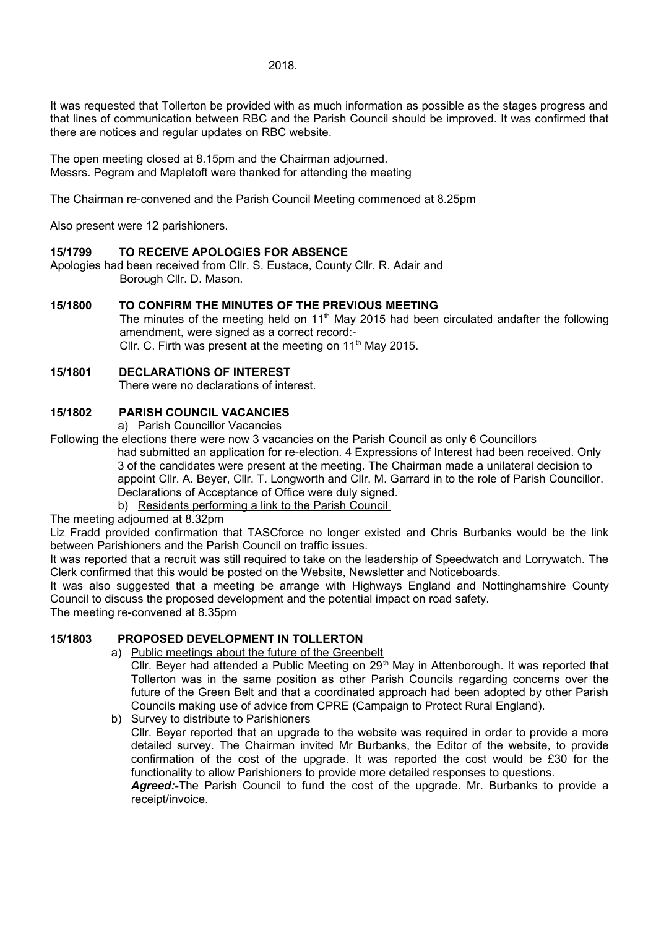It was requested that Tollerton be provided with as much information as possible as the stages progress and that lines of communication between RBC and the Parish Council should be improved. It was confirmed that there are notices and regular updates on RBC website.

The open meeting closed at 8.15pm and the Chairman adjourned. Messrs. Pegram and Mapletoft were thanked for attending the meeting

The Chairman re-convened and the Parish Council Meeting commenced at 8.25pm

Also present were 12 parishioners.

#### **15/1799 TO RECEIVE APOLOGIES FOR ABSENCE**

Apologies had been received from Cllr. S. Eustace, County Cllr. R. Adair and Borough Cllr. D. Mason.

# **15/1800 TO CONFIRM THE MINUTES OF THE PREVIOUS MEETING**

The minutes of the meeting held on 11<sup>th</sup> May 2015 had been circulated andafter the following amendment, were signed as a correct record:- Cllr. C. Firth was present at the meeting on  $11<sup>th</sup>$  May 2015.

#### **15/1801 DECLARATIONS OF INTEREST**

There were no declarations of interest.

# **15/1802 PARISH COUNCIL VACANCIES**

a) Parish Councillor Vacancies

Following the elections there were now 3 vacancies on the Parish Council as only 6 Councillors had submitted an application for re-election. 4 Expressions of Interest had been received. Only 3 of the candidates were present at the meeting. The Chairman made a unilateral decision to appoint Cllr. A. Beyer, Cllr. T. Longworth and Cllr. M. Garrard in to the role of Parish Councillor. Declarations of Acceptance of Office were duly signed.

b) Residents performing a link to the Parish Council

The meeting adjourned at 8.32pm

Liz Fradd provided confirmation that TASCforce no longer existed and Chris Burbanks would be the link between Parishioners and the Parish Council on traffic issues.

It was reported that a recruit was still required to take on the leadership of Speedwatch and Lorrywatch. The Clerk confirmed that this would be posted on the Website, Newsletter and Noticeboards.

It was also suggested that a meeting be arrange with Highways England and Nottinghamshire County Council to discuss the proposed development and the potential impact on road safety.

The meeting re-convened at 8.35pm

# **15/1803 PROPOSED DEVELOPMENT IN TOLLERTON**

a) Public meetings about the future of the Greenbelt

Cllr. Beyer had attended a Public Meeting on 29<sup>th</sup> May in Attenborough. It was reported that Tollerton was in the same position as other Parish Councils regarding concerns over the future of the Green Belt and that a coordinated approach had been adopted by other Parish Councils making use of advice from CPRE (Campaign to Protect Rural England).

b) Survey to distribute to Parishioners

Cllr. Beyer reported that an upgrade to the website was required in order to provide a more detailed survey. The Chairman invited Mr Burbanks, the Editor of the website, to provide confirmation of the cost of the upgrade. It was reported the cost would be £30 for the functionality to allow Parishioners to provide more detailed responses to questions. *Agreed:-*The Parish Council to fund the cost of the upgrade. Mr. Burbanks to provide a

receipt/invoice.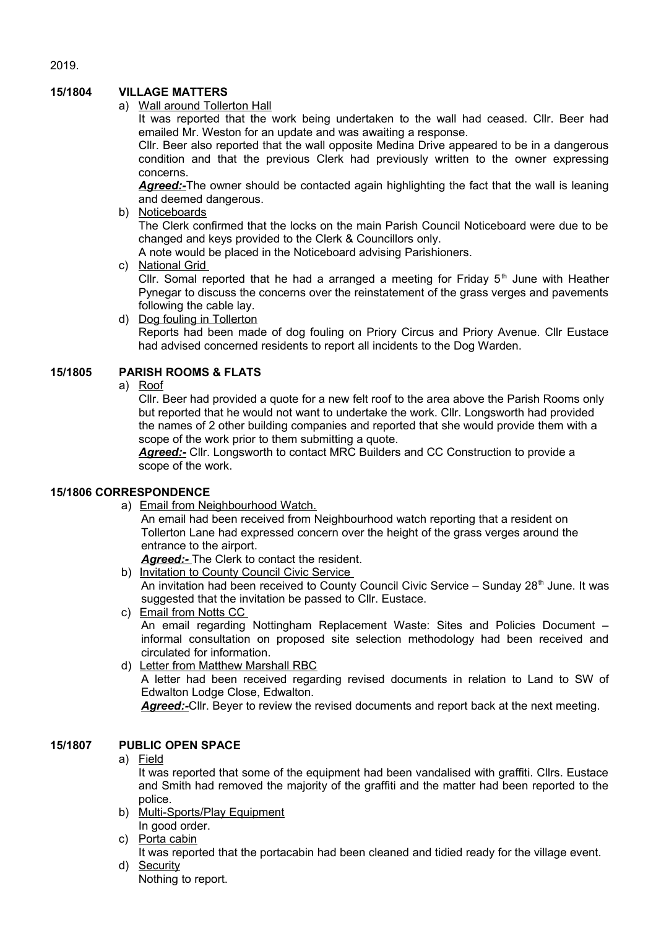# **15/1804 VILLAGE MATTERS**

a) Wall around Tollerton Hall

It was reported that the work being undertaken to the wall had ceased. Cllr. Beer had emailed Mr. Weston for an update and was awaiting a response.

Cllr. Beer also reported that the wall opposite Medina Drive appeared to be in a dangerous condition and that the previous Clerk had previously written to the owner expressing concerns.

**Agreed:-**The owner should be contacted again highlighting the fact that the wall is leaning and deemed dangerous.

b) Noticeboards

The Clerk confirmed that the locks on the main Parish Council Noticeboard were due to be changed and keys provided to the Clerk & Councillors only.

A note would be placed in the Noticeboard advising Parishioners.

c) National Grid

Cllr. Somal reported that he had a arranged a meeting for Friday  $5<sup>th</sup>$  June with Heather Pynegar to discuss the concerns over the reinstatement of the grass verges and pavements following the cable lay.

d) Dog fouling in Tollerton Reports had been made of dog fouling on Priory Circus and Priory Avenue. Cllr Eustace had advised concerned residents to report all incidents to the Dog Warden.

# **15/1805 PARISH ROOMS & FLATS**

a) Roof

Cllr. Beer had provided a quote for a new felt roof to the area above the Parish Rooms only but reported that he would not want to undertake the work. Cllr. Longsworth had provided the names of 2 other building companies and reported that she would provide them with a scope of the work prior to them submitting a quote.

*Agreed:-* Cllr. Longsworth to contact MRC Builders and CC Construction to provide a scope of the work.

# **15/1806 CORRESPONDENCE**

a) Email from Neighbourhood Watch.

An email had been received from Neighbourhood watch reporting that a resident on Tollerton Lane had expressed concern over the height of the grass verges around the entrance to the airport.

*Agreed:-* The Clerk to contact the resident.

- b) Invitation to County Council Civic Service An invitation had been received to County Council Civic Service – Sunday  $28<sup>th</sup>$  June. It was suggested that the invitation be passed to Cllr. Eustace.
- c) Email from Notts CC An email regarding Nottingham Replacement Waste: Sites and Policies Document – informal consultation on proposed site selection methodology had been received and circulated for information.
- d) Letter from Matthew Marshall RBC

A letter had been received regarding revised documents in relation to Land to SW of Edwalton Lodge Close, Edwalton.

*Agreed:-*Cllr. Beyer to review the revised documents and report back at the next meeting.

# **15/1807 PUBLIC OPEN SPACE**

#### a) Field

It was reported that some of the equipment had been vandalised with graffiti. Cllrs. Eustace and Smith had removed the majority of the graffiti and the matter had been reported to the police.

- b) Multi-Sports/Play Equipment In good order.
- c) Porta cabin

It was reported that the portacabin had been cleaned and tidied ready for the village event. d) Security

Nothing to report.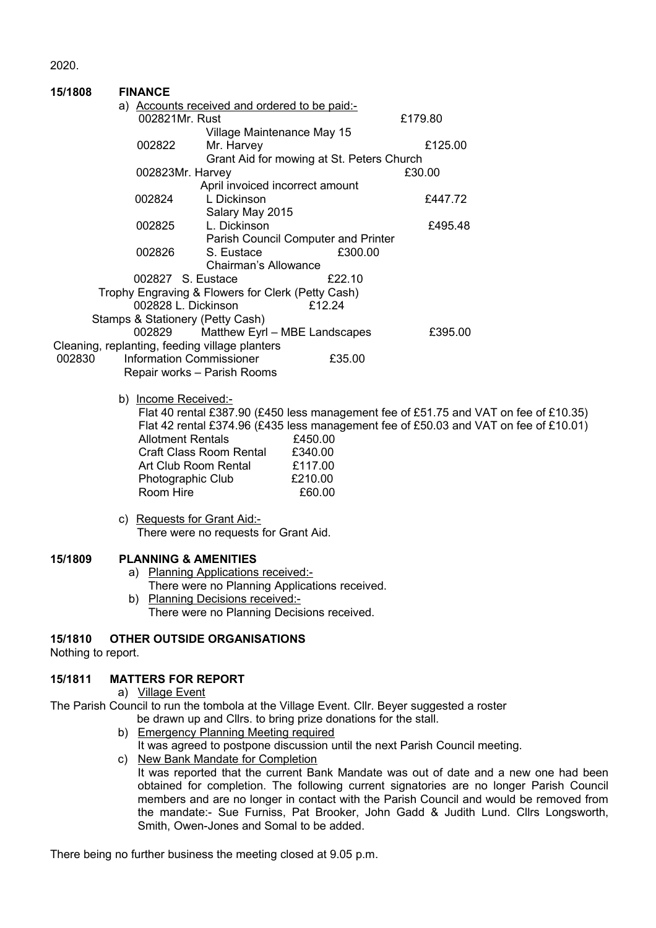| a) Accounts received and ordered to be paid:-<br>002821Mr. Rust<br>£179.80<br>Village Maintenance May 15<br>£125.00<br>002822<br>Mr. Harvey<br>Grant Aid for mowing at St. Peters Church<br>£30.00<br>002823Mr. Harvey<br>April invoiced incorrect amount<br>002824<br>L Dickinson<br>£447.72<br>Salary May 2015<br>002825<br>L. Dickinson<br>£495.48<br>Parish Council Computer and Printer<br>002826<br>S. Eustace<br>£300.00<br>Chairman's Allowance<br>002827 S. Eustace<br>£22.10<br>Trophy Engraving & Flowers for Clerk (Petty Cash)<br>002828 L. Dickinson<br>£12.24<br>Stamps & Stationery (Petty Cash)<br>Matthew Eyrl - MBE Landscapes<br>002829<br>£395.00<br>Cleaning, replanting, feeding village planters<br>002830<br><b>Information Commissioner</b><br>£35.00<br>Repair works - Parish Rooms<br>b) Income Received:-<br>Flat 40 rental £387.90 (£450 less management fee of £51.75 and VAT on fee of £10.35)<br>Flat 42 rental £374.96 (£435 less management fee of £50.03 and VAT on fee of £10.01)<br><b>Allotment Rentals</b><br>£450.00<br>Craft Class Room Rental<br>£340.00<br>Art Club Room Rental £117.00<br>£210.00<br>Photographic Club<br>Room Hire<br>£60.00<br>c) Requests for Grant Aid:-<br>There were no requests for Grant Aid.<br><b>PLANNING &amp; AMENITIES</b><br>a) Planning Applications received:-<br>There were no Planning Applications received.<br>b) Planning Decisions received:<br>There were no Planning Decisions received.<br><b>OTHER OUTSIDE ORGANISATIONS</b><br>Nothing to report.<br><b>MATTERS FOR REPORT</b><br>a) Village Event<br>The Parish Council to run the tombola at the Village Event. Cllr. Beyer suggested a roster<br>be drawn up and Cllrs. to bring prize donations for the stall.<br>b) Emergency Planning Meeting required<br>It was agreed to postpone discussion until the next Parish Council meeting.<br>c) New Bank Mandate for Completion<br>It was reported that the current Bank Mandate was out of date and a new one had been | 15/1808 | <b>FINANCE</b> |  |  |
|--------------------------------------------------------------------------------------------------------------------------------------------------------------------------------------------------------------------------------------------------------------------------------------------------------------------------------------------------------------------------------------------------------------------------------------------------------------------------------------------------------------------------------------------------------------------------------------------------------------------------------------------------------------------------------------------------------------------------------------------------------------------------------------------------------------------------------------------------------------------------------------------------------------------------------------------------------------------------------------------------------------------------------------------------------------------------------------------------------------------------------------------------------------------------------------------------------------------------------------------------------------------------------------------------------------------------------------------------------------------------------------------------------------------------------------------------------------------------------------------------------------------------------------------------------------------------------------------------------------------------------------------------------------------------------------------------------------------------------------------------------------------------------------------------------------------------------------------------------------------------------------------------------------------------------------------------------------------------------------------------------------------|---------|----------------|--|--|
|                                                                                                                                                                                                                                                                                                                                                                                                                                                                                                                                                                                                                                                                                                                                                                                                                                                                                                                                                                                                                                                                                                                                                                                                                                                                                                                                                                                                                                                                                                                                                                                                                                                                                                                                                                                                                                                                                                                                                                                                                    |         |                |  |  |
|                                                                                                                                                                                                                                                                                                                                                                                                                                                                                                                                                                                                                                                                                                                                                                                                                                                                                                                                                                                                                                                                                                                                                                                                                                                                                                                                                                                                                                                                                                                                                                                                                                                                                                                                                                                                                                                                                                                                                                                                                    |         |                |  |  |
|                                                                                                                                                                                                                                                                                                                                                                                                                                                                                                                                                                                                                                                                                                                                                                                                                                                                                                                                                                                                                                                                                                                                                                                                                                                                                                                                                                                                                                                                                                                                                                                                                                                                                                                                                                                                                                                                                                                                                                                                                    |         |                |  |  |
|                                                                                                                                                                                                                                                                                                                                                                                                                                                                                                                                                                                                                                                                                                                                                                                                                                                                                                                                                                                                                                                                                                                                                                                                                                                                                                                                                                                                                                                                                                                                                                                                                                                                                                                                                                                                                                                                                                                                                                                                                    |         |                |  |  |
|                                                                                                                                                                                                                                                                                                                                                                                                                                                                                                                                                                                                                                                                                                                                                                                                                                                                                                                                                                                                                                                                                                                                                                                                                                                                                                                                                                                                                                                                                                                                                                                                                                                                                                                                                                                                                                                                                                                                                                                                                    |         |                |  |  |
|                                                                                                                                                                                                                                                                                                                                                                                                                                                                                                                                                                                                                                                                                                                                                                                                                                                                                                                                                                                                                                                                                                                                                                                                                                                                                                                                                                                                                                                                                                                                                                                                                                                                                                                                                                                                                                                                                                                                                                                                                    |         |                |  |  |
|                                                                                                                                                                                                                                                                                                                                                                                                                                                                                                                                                                                                                                                                                                                                                                                                                                                                                                                                                                                                                                                                                                                                                                                                                                                                                                                                                                                                                                                                                                                                                                                                                                                                                                                                                                                                                                                                                                                                                                                                                    |         |                |  |  |
|                                                                                                                                                                                                                                                                                                                                                                                                                                                                                                                                                                                                                                                                                                                                                                                                                                                                                                                                                                                                                                                                                                                                                                                                                                                                                                                                                                                                                                                                                                                                                                                                                                                                                                                                                                                                                                                                                                                                                                                                                    |         |                |  |  |
|                                                                                                                                                                                                                                                                                                                                                                                                                                                                                                                                                                                                                                                                                                                                                                                                                                                                                                                                                                                                                                                                                                                                                                                                                                                                                                                                                                                                                                                                                                                                                                                                                                                                                                                                                                                                                                                                                                                                                                                                                    |         |                |  |  |
|                                                                                                                                                                                                                                                                                                                                                                                                                                                                                                                                                                                                                                                                                                                                                                                                                                                                                                                                                                                                                                                                                                                                                                                                                                                                                                                                                                                                                                                                                                                                                                                                                                                                                                                                                                                                                                                                                                                                                                                                                    |         |                |  |  |
|                                                                                                                                                                                                                                                                                                                                                                                                                                                                                                                                                                                                                                                                                                                                                                                                                                                                                                                                                                                                                                                                                                                                                                                                                                                                                                                                                                                                                                                                                                                                                                                                                                                                                                                                                                                                                                                                                                                                                                                                                    |         |                |  |  |
|                                                                                                                                                                                                                                                                                                                                                                                                                                                                                                                                                                                                                                                                                                                                                                                                                                                                                                                                                                                                                                                                                                                                                                                                                                                                                                                                                                                                                                                                                                                                                                                                                                                                                                                                                                                                                                                                                                                                                                                                                    |         |                |  |  |
|                                                                                                                                                                                                                                                                                                                                                                                                                                                                                                                                                                                                                                                                                                                                                                                                                                                                                                                                                                                                                                                                                                                                                                                                                                                                                                                                                                                                                                                                                                                                                                                                                                                                                                                                                                                                                                                                                                                                                                                                                    |         |                |  |  |
|                                                                                                                                                                                                                                                                                                                                                                                                                                                                                                                                                                                                                                                                                                                                                                                                                                                                                                                                                                                                                                                                                                                                                                                                                                                                                                                                                                                                                                                                                                                                                                                                                                                                                                                                                                                                                                                                                                                                                                                                                    |         |                |  |  |
|                                                                                                                                                                                                                                                                                                                                                                                                                                                                                                                                                                                                                                                                                                                                                                                                                                                                                                                                                                                                                                                                                                                                                                                                                                                                                                                                                                                                                                                                                                                                                                                                                                                                                                                                                                                                                                                                                                                                                                                                                    |         |                |  |  |
|                                                                                                                                                                                                                                                                                                                                                                                                                                                                                                                                                                                                                                                                                                                                                                                                                                                                                                                                                                                                                                                                                                                                                                                                                                                                                                                                                                                                                                                                                                                                                                                                                                                                                                                                                                                                                                                                                                                                                                                                                    |         |                |  |  |
|                                                                                                                                                                                                                                                                                                                                                                                                                                                                                                                                                                                                                                                                                                                                                                                                                                                                                                                                                                                                                                                                                                                                                                                                                                                                                                                                                                                                                                                                                                                                                                                                                                                                                                                                                                                                                                                                                                                                                                                                                    |         |                |  |  |
|                                                                                                                                                                                                                                                                                                                                                                                                                                                                                                                                                                                                                                                                                                                                                                                                                                                                                                                                                                                                                                                                                                                                                                                                                                                                                                                                                                                                                                                                                                                                                                                                                                                                                                                                                                                                                                                                                                                                                                                                                    |         |                |  |  |
|                                                                                                                                                                                                                                                                                                                                                                                                                                                                                                                                                                                                                                                                                                                                                                                                                                                                                                                                                                                                                                                                                                                                                                                                                                                                                                                                                                                                                                                                                                                                                                                                                                                                                                                                                                                                                                                                                                                                                                                                                    |         |                |  |  |
|                                                                                                                                                                                                                                                                                                                                                                                                                                                                                                                                                                                                                                                                                                                                                                                                                                                                                                                                                                                                                                                                                                                                                                                                                                                                                                                                                                                                                                                                                                                                                                                                                                                                                                                                                                                                                                                                                                                                                                                                                    |         |                |  |  |
|                                                                                                                                                                                                                                                                                                                                                                                                                                                                                                                                                                                                                                                                                                                                                                                                                                                                                                                                                                                                                                                                                                                                                                                                                                                                                                                                                                                                                                                                                                                                                                                                                                                                                                                                                                                                                                                                                                                                                                                                                    |         |                |  |  |
|                                                                                                                                                                                                                                                                                                                                                                                                                                                                                                                                                                                                                                                                                                                                                                                                                                                                                                                                                                                                                                                                                                                                                                                                                                                                                                                                                                                                                                                                                                                                                                                                                                                                                                                                                                                                                                                                                                                                                                                                                    |         |                |  |  |
|                                                                                                                                                                                                                                                                                                                                                                                                                                                                                                                                                                                                                                                                                                                                                                                                                                                                                                                                                                                                                                                                                                                                                                                                                                                                                                                                                                                                                                                                                                                                                                                                                                                                                                                                                                                                                                                                                                                                                                                                                    |         |                |  |  |
|                                                                                                                                                                                                                                                                                                                                                                                                                                                                                                                                                                                                                                                                                                                                                                                                                                                                                                                                                                                                                                                                                                                                                                                                                                                                                                                                                                                                                                                                                                                                                                                                                                                                                                                                                                                                                                                                                                                                                                                                                    |         |                |  |  |
|                                                                                                                                                                                                                                                                                                                                                                                                                                                                                                                                                                                                                                                                                                                                                                                                                                                                                                                                                                                                                                                                                                                                                                                                                                                                                                                                                                                                                                                                                                                                                                                                                                                                                                                                                                                                                                                                                                                                                                                                                    |         |                |  |  |
|                                                                                                                                                                                                                                                                                                                                                                                                                                                                                                                                                                                                                                                                                                                                                                                                                                                                                                                                                                                                                                                                                                                                                                                                                                                                                                                                                                                                                                                                                                                                                                                                                                                                                                                                                                                                                                                                                                                                                                                                                    |         |                |  |  |
|                                                                                                                                                                                                                                                                                                                                                                                                                                                                                                                                                                                                                                                                                                                                                                                                                                                                                                                                                                                                                                                                                                                                                                                                                                                                                                                                                                                                                                                                                                                                                                                                                                                                                                                                                                                                                                                                                                                                                                                                                    |         |                |  |  |
|                                                                                                                                                                                                                                                                                                                                                                                                                                                                                                                                                                                                                                                                                                                                                                                                                                                                                                                                                                                                                                                                                                                                                                                                                                                                                                                                                                                                                                                                                                                                                                                                                                                                                                                                                                                                                                                                                                                                                                                                                    |         |                |  |  |
|                                                                                                                                                                                                                                                                                                                                                                                                                                                                                                                                                                                                                                                                                                                                                                                                                                                                                                                                                                                                                                                                                                                                                                                                                                                                                                                                                                                                                                                                                                                                                                                                                                                                                                                                                                                                                                                                                                                                                                                                                    |         |                |  |  |
|                                                                                                                                                                                                                                                                                                                                                                                                                                                                                                                                                                                                                                                                                                                                                                                                                                                                                                                                                                                                                                                                                                                                                                                                                                                                                                                                                                                                                                                                                                                                                                                                                                                                                                                                                                                                                                                                                                                                                                                                                    |         |                |  |  |
|                                                                                                                                                                                                                                                                                                                                                                                                                                                                                                                                                                                                                                                                                                                                                                                                                                                                                                                                                                                                                                                                                                                                                                                                                                                                                                                                                                                                                                                                                                                                                                                                                                                                                                                                                                                                                                                                                                                                                                                                                    |         |                |  |  |
|                                                                                                                                                                                                                                                                                                                                                                                                                                                                                                                                                                                                                                                                                                                                                                                                                                                                                                                                                                                                                                                                                                                                                                                                                                                                                                                                                                                                                                                                                                                                                                                                                                                                                                                                                                                                                                                                                                                                                                                                                    |         |                |  |  |
|                                                                                                                                                                                                                                                                                                                                                                                                                                                                                                                                                                                                                                                                                                                                                                                                                                                                                                                                                                                                                                                                                                                                                                                                                                                                                                                                                                                                                                                                                                                                                                                                                                                                                                                                                                                                                                                                                                                                                                                                                    |         |                |  |  |
|                                                                                                                                                                                                                                                                                                                                                                                                                                                                                                                                                                                                                                                                                                                                                                                                                                                                                                                                                                                                                                                                                                                                                                                                                                                                                                                                                                                                                                                                                                                                                                                                                                                                                                                                                                                                                                                                                                                                                                                                                    |         |                |  |  |
|                                                                                                                                                                                                                                                                                                                                                                                                                                                                                                                                                                                                                                                                                                                                                                                                                                                                                                                                                                                                                                                                                                                                                                                                                                                                                                                                                                                                                                                                                                                                                                                                                                                                                                                                                                                                                                                                                                                                                                                                                    |         |                |  |  |
|                                                                                                                                                                                                                                                                                                                                                                                                                                                                                                                                                                                                                                                                                                                                                                                                                                                                                                                                                                                                                                                                                                                                                                                                                                                                                                                                                                                                                                                                                                                                                                                                                                                                                                                                                                                                                                                                                                                                                                                                                    | 15/1809 |                |  |  |
|                                                                                                                                                                                                                                                                                                                                                                                                                                                                                                                                                                                                                                                                                                                                                                                                                                                                                                                                                                                                                                                                                                                                                                                                                                                                                                                                                                                                                                                                                                                                                                                                                                                                                                                                                                                                                                                                                                                                                                                                                    |         |                |  |  |
|                                                                                                                                                                                                                                                                                                                                                                                                                                                                                                                                                                                                                                                                                                                                                                                                                                                                                                                                                                                                                                                                                                                                                                                                                                                                                                                                                                                                                                                                                                                                                                                                                                                                                                                                                                                                                                                                                                                                                                                                                    |         |                |  |  |
|                                                                                                                                                                                                                                                                                                                                                                                                                                                                                                                                                                                                                                                                                                                                                                                                                                                                                                                                                                                                                                                                                                                                                                                                                                                                                                                                                                                                                                                                                                                                                                                                                                                                                                                                                                                                                                                                                                                                                                                                                    |         |                |  |  |
|                                                                                                                                                                                                                                                                                                                                                                                                                                                                                                                                                                                                                                                                                                                                                                                                                                                                                                                                                                                                                                                                                                                                                                                                                                                                                                                                                                                                                                                                                                                                                                                                                                                                                                                                                                                                                                                                                                                                                                                                                    |         |                |  |  |
|                                                                                                                                                                                                                                                                                                                                                                                                                                                                                                                                                                                                                                                                                                                                                                                                                                                                                                                                                                                                                                                                                                                                                                                                                                                                                                                                                                                                                                                                                                                                                                                                                                                                                                                                                                                                                                                                                                                                                                                                                    |         |                |  |  |
|                                                                                                                                                                                                                                                                                                                                                                                                                                                                                                                                                                                                                                                                                                                                                                                                                                                                                                                                                                                                                                                                                                                                                                                                                                                                                                                                                                                                                                                                                                                                                                                                                                                                                                                                                                                                                                                                                                                                                                                                                    | 15/1810 |                |  |  |
|                                                                                                                                                                                                                                                                                                                                                                                                                                                                                                                                                                                                                                                                                                                                                                                                                                                                                                                                                                                                                                                                                                                                                                                                                                                                                                                                                                                                                                                                                                                                                                                                                                                                                                                                                                                                                                                                                                                                                                                                                    |         |                |  |  |
|                                                                                                                                                                                                                                                                                                                                                                                                                                                                                                                                                                                                                                                                                                                                                                                                                                                                                                                                                                                                                                                                                                                                                                                                                                                                                                                                                                                                                                                                                                                                                                                                                                                                                                                                                                                                                                                                                                                                                                                                                    |         |                |  |  |
|                                                                                                                                                                                                                                                                                                                                                                                                                                                                                                                                                                                                                                                                                                                                                                                                                                                                                                                                                                                                                                                                                                                                                                                                                                                                                                                                                                                                                                                                                                                                                                                                                                                                                                                                                                                                                                                                                                                                                                                                                    | 15/1811 |                |  |  |
|                                                                                                                                                                                                                                                                                                                                                                                                                                                                                                                                                                                                                                                                                                                                                                                                                                                                                                                                                                                                                                                                                                                                                                                                                                                                                                                                                                                                                                                                                                                                                                                                                                                                                                                                                                                                                                                                                                                                                                                                                    |         |                |  |  |
|                                                                                                                                                                                                                                                                                                                                                                                                                                                                                                                                                                                                                                                                                                                                                                                                                                                                                                                                                                                                                                                                                                                                                                                                                                                                                                                                                                                                                                                                                                                                                                                                                                                                                                                                                                                                                                                                                                                                                                                                                    |         |                |  |  |
|                                                                                                                                                                                                                                                                                                                                                                                                                                                                                                                                                                                                                                                                                                                                                                                                                                                                                                                                                                                                                                                                                                                                                                                                                                                                                                                                                                                                                                                                                                                                                                                                                                                                                                                                                                                                                                                                                                                                                                                                                    |         |                |  |  |
|                                                                                                                                                                                                                                                                                                                                                                                                                                                                                                                                                                                                                                                                                                                                                                                                                                                                                                                                                                                                                                                                                                                                                                                                                                                                                                                                                                                                                                                                                                                                                                                                                                                                                                                                                                                                                                                                                                                                                                                                                    |         |                |  |  |
|                                                                                                                                                                                                                                                                                                                                                                                                                                                                                                                                                                                                                                                                                                                                                                                                                                                                                                                                                                                                                                                                                                                                                                                                                                                                                                                                                                                                                                                                                                                                                                                                                                                                                                                                                                                                                                                                                                                                                                                                                    |         |                |  |  |
|                                                                                                                                                                                                                                                                                                                                                                                                                                                                                                                                                                                                                                                                                                                                                                                                                                                                                                                                                                                                                                                                                                                                                                                                                                                                                                                                                                                                                                                                                                                                                                                                                                                                                                                                                                                                                                                                                                                                                                                                                    |         |                |  |  |
|                                                                                                                                                                                                                                                                                                                                                                                                                                                                                                                                                                                                                                                                                                                                                                                                                                                                                                                                                                                                                                                                                                                                                                                                                                                                                                                                                                                                                                                                                                                                                                                                                                                                                                                                                                                                                                                                                                                                                                                                                    |         |                |  |  |
| obtained for completion. The following current signatories are no longer Parish Council                                                                                                                                                                                                                                                                                                                                                                                                                                                                                                                                                                                                                                                                                                                                                                                                                                                                                                                                                                                                                                                                                                                                                                                                                                                                                                                                                                                                                                                                                                                                                                                                                                                                                                                                                                                                                                                                                                                            |         |                |  |  |
| members and are no longer in contact with the Parish Council and would be removed from                                                                                                                                                                                                                                                                                                                                                                                                                                                                                                                                                                                                                                                                                                                                                                                                                                                                                                                                                                                                                                                                                                                                                                                                                                                                                                                                                                                                                                                                                                                                                                                                                                                                                                                                                                                                                                                                                                                             |         |                |  |  |

the mandate:- Sue Furniss, Pat Brooker, John Gadd & Judith Lund. Cllrs Longsworth,

There being no further business the meeting closed at 9.05 p.m.

Smith, Owen-Jones and Somal to be added.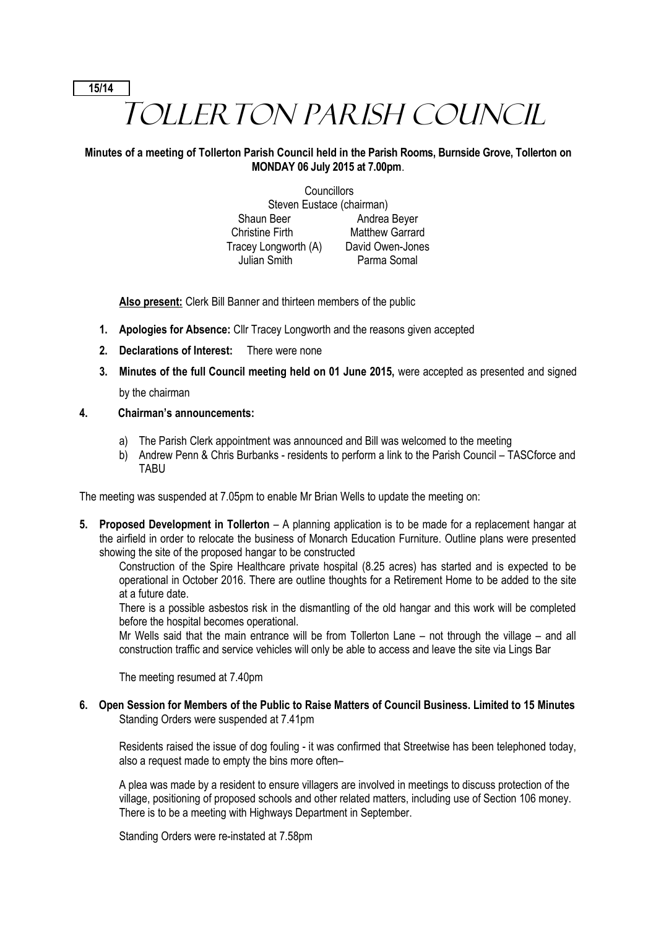# TOLLERTON PARISH COUNCIL

# **Minutes of a meeting of Tollerton Parish Council held in the Parish Rooms, Burnside Grove, Tollerton on MONDAY 06 July 2015 at 7.00pm**.

**Councillors** Steven Eustace (chairman) Shaun Beer Andrea Beyer Christine Firth Matthew Garrard Tracey Longworth (A) David Owen-Jones Julian Smith Parma Somal

**Also present:** Clerk Bill Banner and thirteen members of the public

- **1. Apologies for Absence:** Cllr Tracey Longworth and the reasons given accepted
- **2. Declarations of Interest:** There were none
- **3. Minutes of the full Council meeting held on 01 June 2015,** were accepted as presented and signed by the chairman

**15/14**

# **4. Chairman's announcements:**

- a) The Parish Clerk appointment was announced and Bill was welcomed to the meeting
- b) Andrew Penn & Chris Burbanks residents to perform a link to the Parish Council TASCforce and TABU

The meeting was suspended at 7.05pm to enable Mr Brian Wells to update the meeting on:

**5. Proposed Development in Tollerton** – A planning application is to be made for a replacement hangar at the airfield in order to relocate the business of Monarch Education Furniture. Outline plans were presented showing the site of the proposed hangar to be constructed

Construction of the Spire Healthcare private hospital (8.25 acres) has started and is expected to be operational in October 2016. There are outline thoughts for a Retirement Home to be added to the site at a future date.

There is a possible asbestos risk in the dismantling of the old hangar and this work will be completed before the hospital becomes operational.

Mr Wells said that the main entrance will be from Tollerton Lane – not through the village – and all construction traffic and service vehicles will only be able to access and leave the site via Lings Bar

The meeting resumed at 7.40pm

**6. Open Session for Members of the Public to Raise Matters of Council Business. Limited to 15 Minutes** Standing Orders were suspended at 7.41pm

Residents raised the issue of dog fouling - it was confirmed that Streetwise has been telephoned today, also a request made to empty the bins more often–

A plea was made by a resident to ensure villagers are involved in meetings to discuss protection of the village, positioning of proposed schools and other related matters, including use of Section 106 money. There is to be a meeting with Highways Department in September.

Standing Orders were re-instated at 7.58pm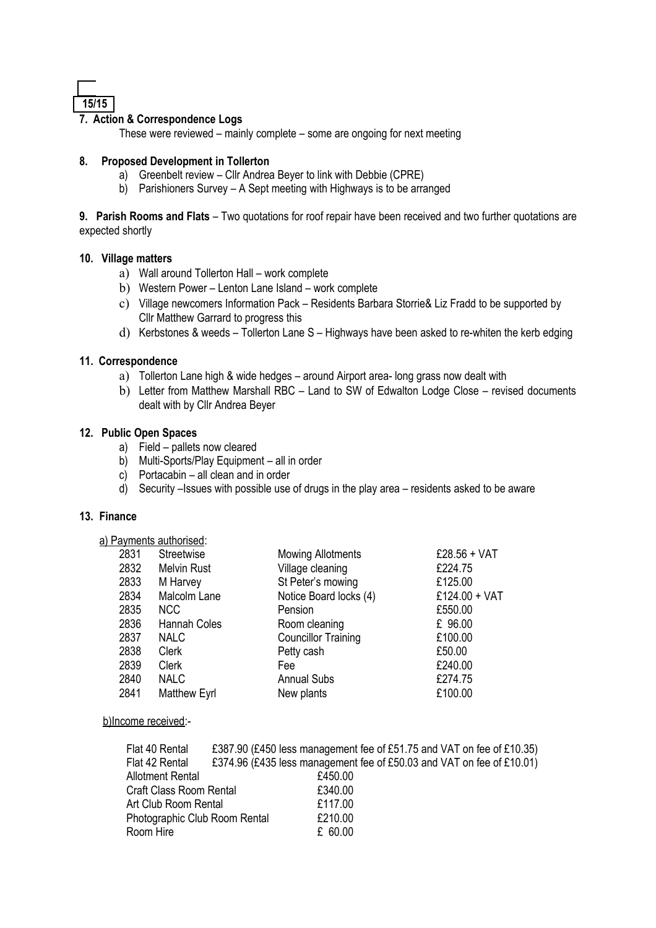

# **7. Action & Correspondence Logs**

These were reviewed – mainly complete – some are ongoing for next meeting

#### **8. Proposed Development in Tollerton**

- a) Greenbelt review Cllr Andrea Beyer to link with Debbie (CPRE)
- b) Parishioners Survey A Sept meeting with Highways is to be arranged

**9. Parish Rooms and Flats** – Two quotations for roof repair have been received and two further quotations are expected shortly

#### **10. Village matters**

- a) Wall around Tollerton Hall work complete
- b) Western Power Lenton Lane Island work complete
- c) Village newcomers Information Pack Residents Barbara Storrie& Liz Fradd to be supported by Cllr Matthew Garrard to progress this
- d) Kerbstones & weeds Tollerton Lane S Highways have been asked to re-whiten the kerb edging

#### **11. Correspondence**

- a) Tollerton Lane high & wide hedges around Airport area- long grass now dealt with
- b) Letter from Matthew Marshall RBC Land to SW of Edwalton Lodge Close revised documents dealt with by Cllr Andrea Beyer

#### **12. Public Open Spaces**

- a) Field pallets now cleared
- b) Multi-Sports/Play Equipment all in order
- c) Portacabin all clean and in order
- d) Security –Issues with possible use of drugs in the play area residents asked to be aware

# **13. Finance**

|  | a) Payments authorised: |  |
|--|-------------------------|--|
|  |                         |  |

| 2831 | Streetwise          | <b>Mowing Allotments</b>   | £28.56 + VAT  |
|------|---------------------|----------------------------|---------------|
| 2832 | <b>Melvin Rust</b>  | Village cleaning           | £224.75       |
| 2833 | M Harvey            | St Peter's mowing          | £125.00       |
| 2834 | Malcolm Lane        | Notice Board locks (4)     | £124.00 + VAT |
| 2835 | <b>NCC</b>          | Pension                    | £550.00       |
| 2836 | Hannah Coles        | Room cleaning              | £ 96.00       |
| 2837 | <b>NALC</b>         | <b>Councillor Training</b> | £100.00       |
| 2838 | <b>Clerk</b>        | Petty cash                 | £50.00        |
| 2839 | <b>Clerk</b>        | Fee                        | £240.00       |
| 2840 | <b>NALC</b>         | <b>Annual Subs</b>         | £274.75       |
| 2841 | <b>Matthew Eyrl</b> | New plants                 | £100.00       |
|      |                     |                            |               |

#### b)Income received:-

| Flat 40 Rental                |         | £387.90 (£450 less management fee of £51.75 and VAT on fee of £10.35) |
|-------------------------------|---------|-----------------------------------------------------------------------|
| Flat 42 Rental                |         | £374.96 (£435 less management fee of £50.03 and VAT on fee of £10.01) |
| <b>Allotment Rental</b>       | £450.00 |                                                                       |
| Craft Class Room Rental       | £340.00 |                                                                       |
| Art Club Room Rental          | £117.00 |                                                                       |
| Photographic Club Room Rental | £210.00 |                                                                       |
| Room Hire                     | £ 60.00 |                                                                       |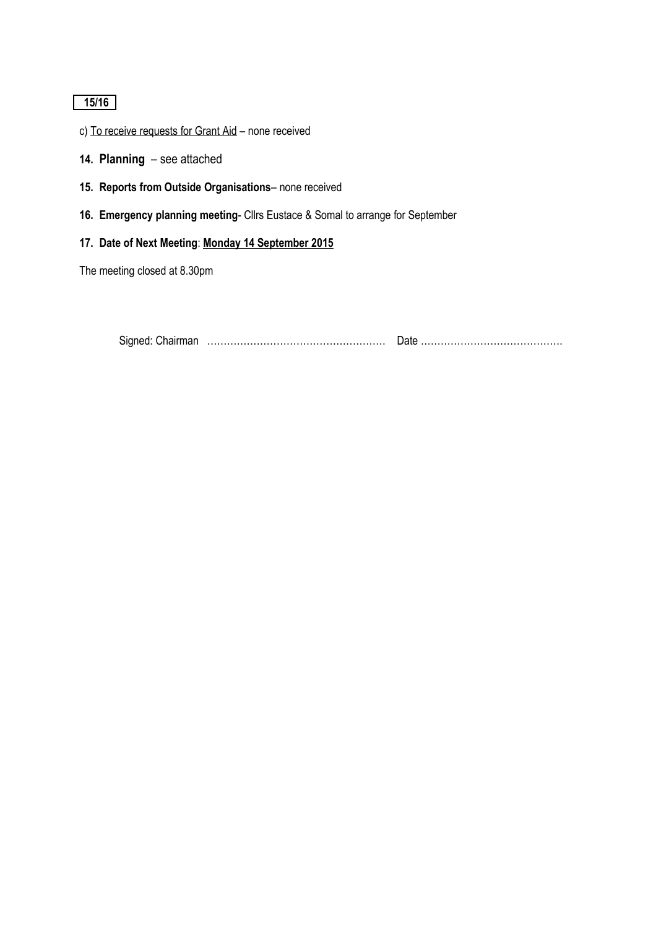# **15/16**

- c) To receive requests for Grant Aid none received
- **14. Planning**  see attached
- **15. Reports from Outside Organisations** none received
- **16. Emergency planning meeting** Cllrs Eustace & Somal to arrange for September
- **17. Date of Next Meeting**: **Monday 14 September 2015**

The meeting closed at 8.30pm

Signed: Chairman ……………………………………………… Date …………………………………….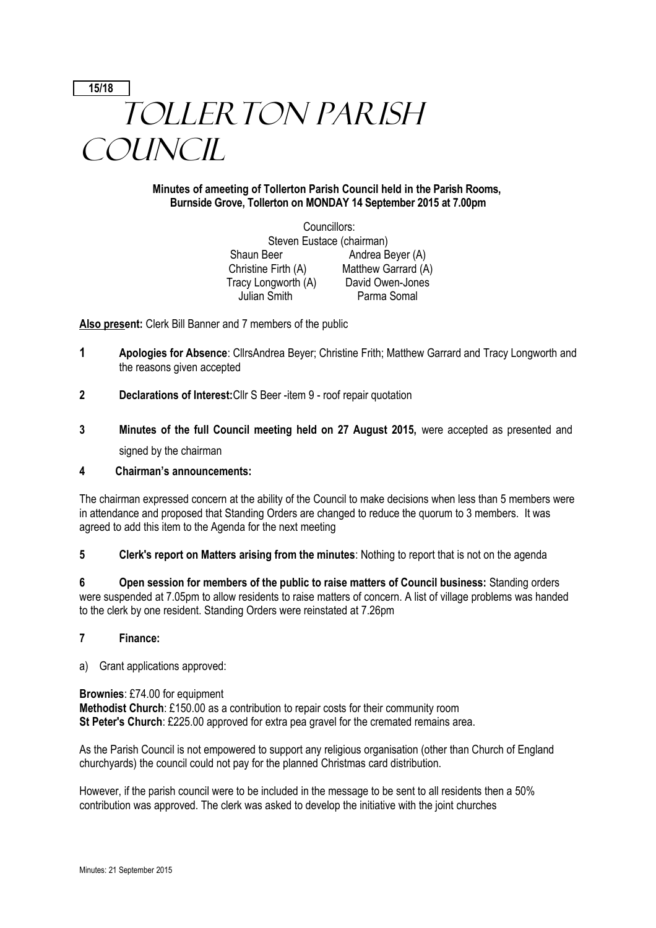# **15/18** TOLLERTON PARISH **COUNCIL**

# **Minutes of ameeting of Tollerton Parish Council held in the Parish Rooms, Burnside Grove, Tollerton on MONDAY 14 September 2015 at 7.00pm**

Councillors: Steven Eustace (chairman) Shaun Beer Andrea Beyer (A) Christine Firth (A) Matthew Garrard (A) Tracy Longworth (A) David Owen-Jones Julian Smith Parma Somal

**Also present:** Clerk Bill Banner and 7 members of the public

- **1 Apologies for Absence**: CllrsAndrea Beyer; Christine Frith; Matthew Garrard and Tracy Longworth and the reasons given accepted
- **2 Declarations of Interest:**Cllr S Beer -item 9 roof repair quotation
- **3 Minutes of the full Council meeting held on 27 August 2015,** were accepted as presented and signed by the chairman

#### **4 Chairman's announcements:**

The chairman expressed concern at the ability of the Council to make decisions when less than 5 members were in attendance and proposed that Standing Orders are changed to reduce the quorum to 3 members. It was agreed to add this item to the Agenda for the next meeting

**5 Clerk's report on Matters arising from the minutes**: Nothing to report that is not on the agenda

**6 Open session for members of the public to raise matters of Council business:** Standing orders were suspended at 7.05pm to allow residents to raise matters of concern. A list of village problems was handed to the clerk by one resident. Standing Orders were reinstated at 7.26pm

#### **7 Finance:**

a) Grant applications approved:

**Brownies**: £74.00 for equipment **Methodist Church**: £150.00 as a contribution to repair costs for their community room **St Peter's Church**: £225.00 approved for extra pea gravel for the cremated remains area.

As the Parish Council is not empowered to support any religious organisation (other than Church of England churchyards) the council could not pay for the planned Christmas card distribution.

However, if the parish council were to be included in the message to be sent to all residents then a 50% contribution was approved. The clerk was asked to develop the initiative with the joint churches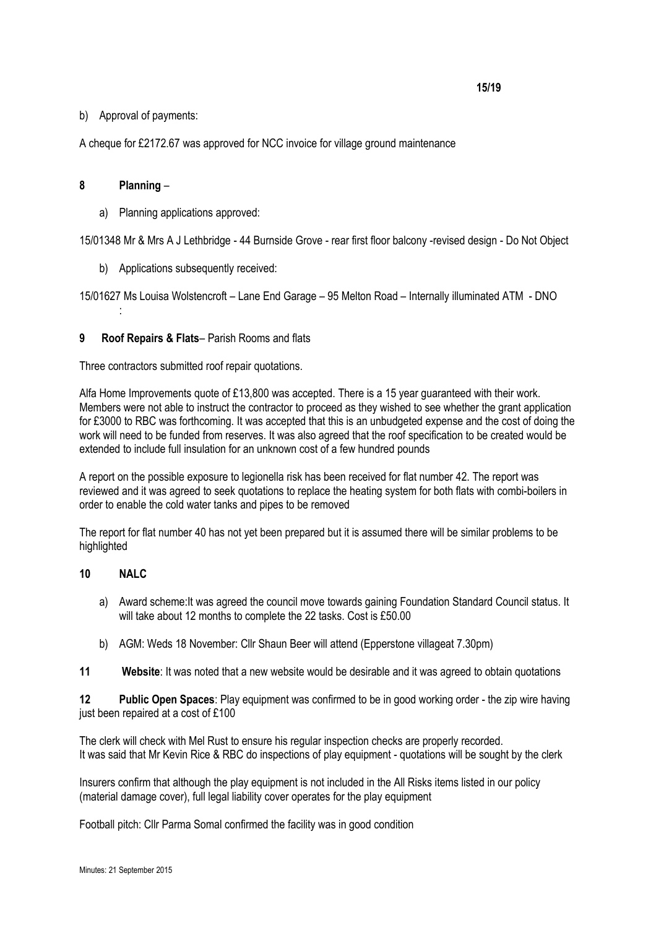#### **15/19**

# b) Approval of payments:

A cheque for £2172.67 was approved for NCC invoice for village ground maintenance

# **8 Planning** –

:

a) Planning applications approved:

15/01348 Mr & Mrs A J Lethbridge - 44 Burnside Grove - rear first floor balcony -revised design - Do Not Object

b) Applications subsequently received:

15/01627 Ms Louisa Wolstencroft – Lane End Garage – 95 Melton Road – Internally illuminated ATM - DNO

# **9 Roof Repairs & Flats**– Parish Rooms and flats

Three contractors submitted roof repair quotations.

Alfa Home Improvements quote of £13,800 was accepted. There is a 15 year guaranteed with their work. Members were not able to instruct the contractor to proceed as they wished to see whether the grant application for £3000 to RBC was forthcoming. It was accepted that this is an unbudgeted expense and the cost of doing the work will need to be funded from reserves. It was also agreed that the roof specification to be created would be extended to include full insulation for an unknown cost of a few hundred pounds

A report on the possible exposure to legionella risk has been received for flat number 42. The report was reviewed and it was agreed to seek quotations to replace the heating system for both flats with combi-boilers in order to enable the cold water tanks and pipes to be removed

The report for flat number 40 has not yet been prepared but it is assumed there will be similar problems to be highlighted

#### **10 NALC**

- a) Award scheme:It was agreed the council move towards gaining Foundation Standard Council status. It will take about 12 months to complete the 22 tasks. Cost is £50.00
- b) AGM: Weds 18 November: Cllr Shaun Beer will attend (Epperstone villageat 7.30pm)
- **11 Website**: It was noted that a new website would be desirable and it was agreed to obtain quotations

**12 Public Open Spaces**: Play equipment was confirmed to be in good working order - the zip wire having just been repaired at a cost of £100

The clerk will check with Mel Rust to ensure his regular inspection checks are properly recorded. It was said that Mr Kevin Rice & RBC do inspections of play equipment - quotations will be sought by the clerk

Insurers confirm that although the play equipment is not included in the All Risks items listed in our policy (material damage cover), full legal liability cover operates for the play equipment

Football pitch: Cllr Parma Somal confirmed the facility was in good condition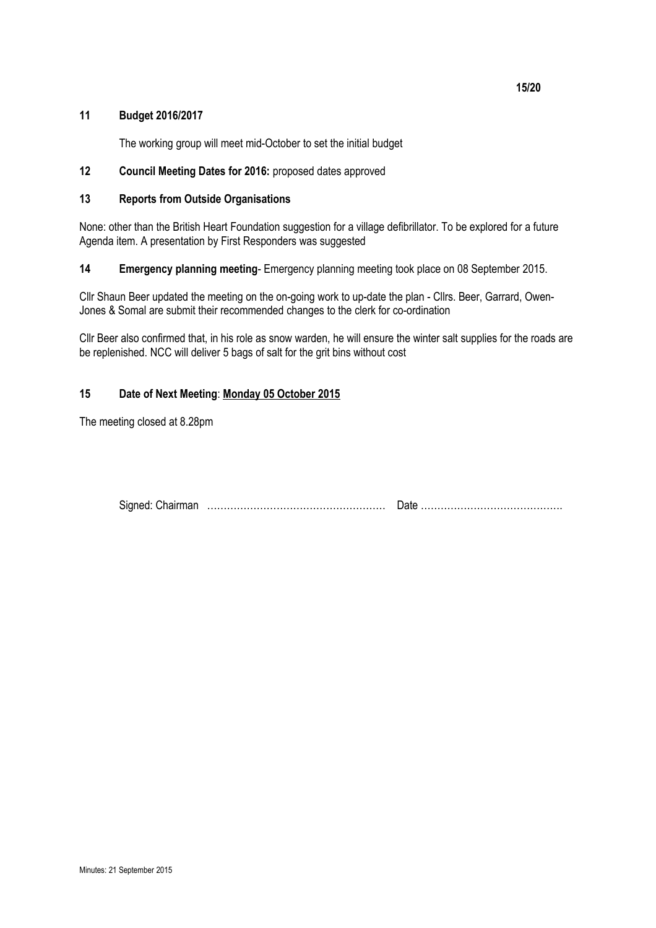# **11 Budget 2016/2017**

The working group will meet mid-October to set the initial budget

# **12 Council Meeting Dates for 2016:** proposed dates approved

# **13 Reports from Outside Organisations**

None: other than the British Heart Foundation suggestion for a village defibrillator. To be explored for a future Agenda item. A presentation by First Responders was suggested

**14 Emergency planning meeting**- Emergency planning meeting took place on 08 September 2015.

Cllr Shaun Beer updated the meeting on the on-going work to up-date the plan - Cllrs. Beer, Garrard, Owen-Jones & Somal are submit their recommended changes to the clerk for co-ordination

Cllr Beer also confirmed that, in his role as snow warden, he will ensure the winter salt supplies for the roads are be replenished. NCC will deliver 5 bags of salt for the grit bins without cost

# **15 Date of Next Meeting**: **Monday 05 October 2015**

The meeting closed at 8.28pm

| <b>.</b><br>Signed: | vum<br>наг |  |
|---------------------|------------|--|
|                     |            |  |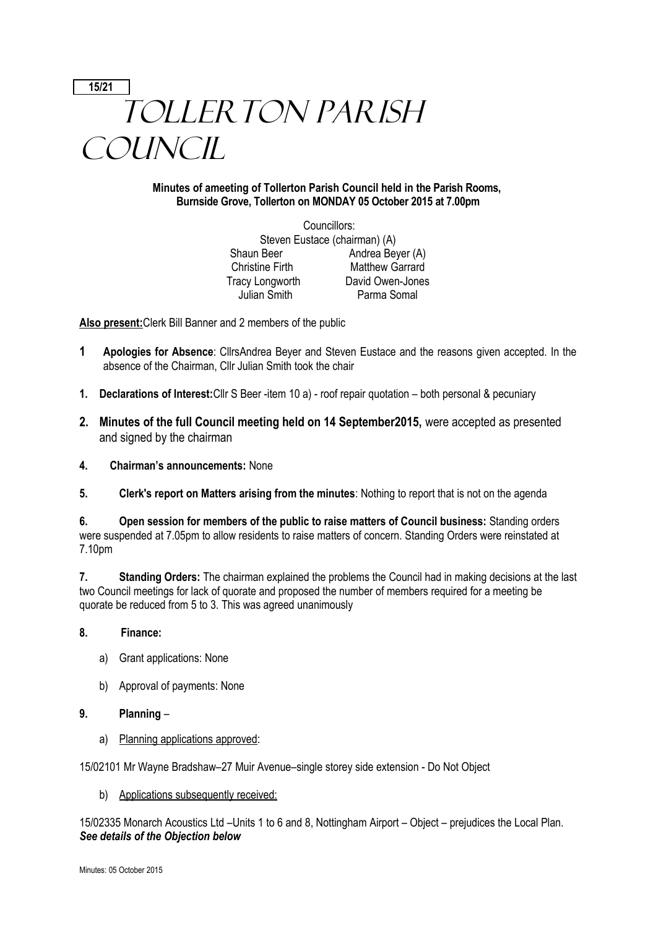# **15/21** TOLLERTON PARISH **COUNCIL**

# **Minutes of ameeting of Tollerton Parish Council held in the Parish Rooms, Burnside Grove, Tollerton on MONDAY 05 October 2015 at 7.00pm**

Councillors: Steven Eustace (chairman) (A) Shaun Beer Andrea Beyer (A) Christine Firth Matthew Garrard Tracy Longworth David Owen-Jones Julian Smith Parma Somal

**Also present:**Clerk Bill Banner and 2 members of the public

- **1 Apologies for Absence**: CllrsAndrea Beyer and Steven Eustace and the reasons given accepted. In the absence of the Chairman, Cllr Julian Smith took the chair
- **1. Declarations of Interest:**Cllr S Beer -item 10 a) roof repair quotation both personal & pecuniary
- **2. Minutes of the full Council meeting held on 14 September2015,** were accepted as presented and signed by the chairman
- **4. Chairman's announcements:** None
- **5. Clerk's report on Matters arising from the minutes**: Nothing to report that is not on the agenda

**6. Open session for members of the public to raise matters of Council business:** Standing orders were suspended at 7.05pm to allow residents to raise matters of concern. Standing Orders were reinstated at 7.10pm

**7. Standing Orders:** The chairman explained the problems the Council had in making decisions at the last two Council meetings for lack of quorate and proposed the number of members required for a meeting be quorate be reduced from 5 to 3. This was agreed unanimously

# **8. Finance:**

- a) Grant applications: None
- b) Approval of payments: None

#### **9. Planning** –

a) Planning applications approved:

15/02101 Mr Wayne Bradshaw–27 Muir Avenue–single storey side extension - Do Not Object

b) Applications subsequently received:

15/02335 Monarch Acoustics Ltd –Units 1 to 6 and 8, Nottingham Airport – Object – prejudices the Local Plan. *See details of the Objection below*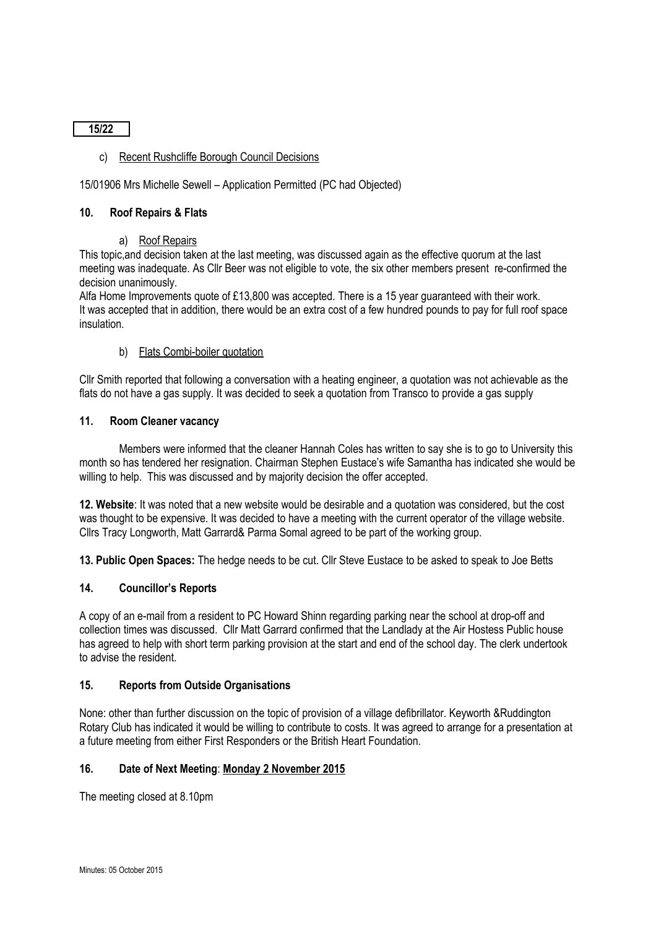**15/22**

# c) Recent Rushcliffe Borough Council Decisions

# 15/01906 Mrs Michelle Sewell – Application Permitted (PC had Objected)

#### **10. Roof Repairs & Flats**

#### a) Roof Repairs

This topic,and decision taken at the last meeting, was discussed again as the effective quorum at the last meeting was inadequate. As Cllr Beer was not eligible to vote, the six other members present re-confirmed the decision unanimously.

Alfa Home Improvements quote of £13,800 was accepted. There is a 15 year guaranteed with their work. It was accepted that in addition, there would be an extra cost of a few hundred pounds to pay for full roof space insulation.

#### b) Flats Combi-boiler quotation

Cllr Smith reported that following a conversation with a heating engineer, a quotation was not achievable as the flats do not have a gas supply. It was decided to seek a quotation from Transco to provide a gas supply

#### **11. Room Cleaner vacancy**

Members were informed that the cleaner Hannah Coles has written to say she is to go to University this month so has tendered her resignation. Chairman Stephen Eustace's wife Samantha has indicated she would be willing to help. This was discussed and by majority decision the offer accepted.

**12. Website**: It was noted that a new website would be desirable and a quotation was considered, but the cost was thought to be expensive. It was decided to have a meeting with the current operator of the village website. Cllrs Tracy Longworth, Matt Garrard& Parma Somal agreed to be part of the working group.

**13. Public Open Spaces:** The hedge needs to be cut. Cllr Steve Eustace to be asked to speak to Joe Betts

#### **14. Councillor's Reports**

A copy of an e-mail from a resident to PC Howard Shinn regarding parking near the school at drop-off and collection times was discussed. Cllr Matt Garrard confirmed that the Landlady at the Air Hostess Public house has agreed to help with short term parking provision at the start and end of the school day. The clerk undertook to advise the resident.

#### **15. Reports from Outside Organisations**

None: other than further discussion on the topic of provision of a village defibrillator. Keyworth &Ruddington Rotary Club has indicated it would be willing to contribute to costs. It was agreed to arrange for a presentation at a future meeting from either First Responders or the British Heart Foundation.

# **16. Date of Next Meeting**: **Monday 2 November 2015**

The meeting closed at 8.10pm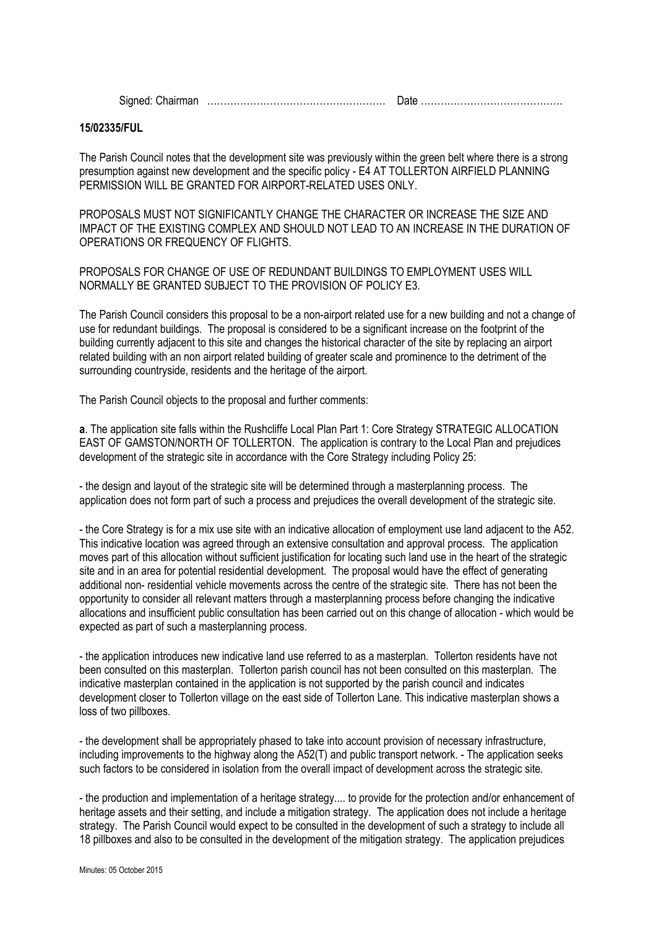Signed: Chairman ……………………………………………… Date …………………………………….

#### **15/02335/FUL**

The Parish Council notes that the development site was previously within the green belt where there is a strong presumption against new development and the specific policy - E4 AT TOLLERTON AIRFIELD PLANNING PERMISSION WILL BE GRANTED FOR AIRPORT-RELATED USES ONLY.

PROPOSALS MUST NOT SIGNIFICANTLY CHANGE THE CHARACTER OR INCREASE THE SIZE AND IMPACT OF THE EXISTING COMPLEX AND SHOULD NOT LEAD TO AN INCREASE IN THE DURATION OF OPERATIONS OR FREQUENCY OF FLIGHTS.

PROPOSALS FOR CHANGE OF USE OF REDUNDANT BUILDINGS TO EMPLOYMENT USES WILL NORMALLY BE GRANTED SUBJECT TO THE PROVISION OF POLICY E3.

The Parish Council considers this proposal to be a non-airport related use for a new building and not a change of use for redundant buildings. The proposal is considered to be a significant increase on the footprint of the building currently adjacent to this site and changes the historical character of the site by replacing an airport related building with an non airport related building of greater scale and prominence to the detriment of the surrounding countryside, residents and the heritage of the airport.

The Parish Council objects to the proposal and further comments:

**a**. The application site falls within the Rushcliffe Local Plan Part 1: Core Strategy STRATEGIC ALLOCATION EAST OF GAMSTON/NORTH OF TOLLERTON. The application is contrary to the Local Plan and prejudices development of the strategic site in accordance with the Core Strategy including Policy 25:

- the design and layout of the strategic site will be determined through a masterplanning process. The application does not form part of such a process and prejudices the overall development of the strategic site.

- the Core Strategy is for a mix use site with an indicative allocation of employment use land adjacent to the A52. This indicative location was agreed through an extensive consultation and approval process. The application moves part of this allocation without sufficient justification for locating such land use in the heart of the strategic site and in an area for potential residential development. The proposal would have the effect of generating additional non- residential vehicle movements across the centre of the strategic site. There has not been the opportunity to consider all relevant matters through a masterplanning process before changing the indicative allocations and insufficient public consultation has been carried out on this change of allocation - which would be expected as part of such a masterplanning process.

- the application introduces new indicative land use referred to as a masterplan. Tollerton residents have not been consulted on this masterplan. Tollerton parish council has not been consulted on this masterplan. The indicative masterplan contained in the application is not supported by the parish council and indicates development closer to Tollerton village on the east side of Tollerton Lane. This indicative masterplan shows a loss of two pillboxes.

- the development shall be appropriately phased to take into account provision of necessary infrastructure, including improvements to the highway along the A52(T) and public transport network. - The application seeks such factors to be considered in isolation from the overall impact of development across the strategic site.

- the production and implementation of a heritage strategy.... to provide for the protection and/or enhancement of heritage assets and their setting, and include a mitigation strategy. The application does not include a heritage strategy. The Parish Council would expect to be consulted in the development of such a strategy to include all 18 pillboxes and also to be consulted in the development of the mitigation strategy. The application prejudices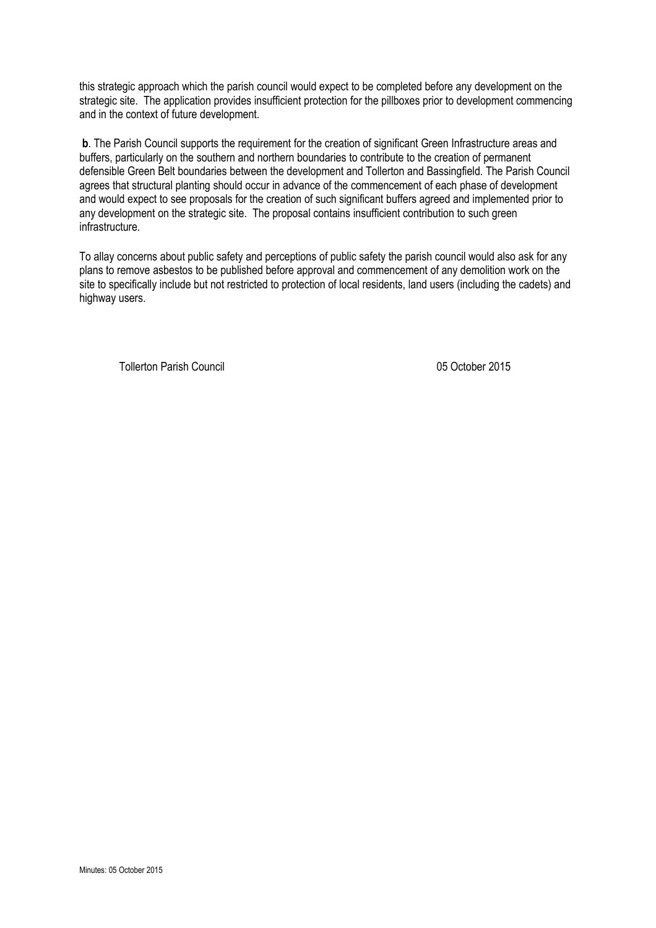this strategic approach which the parish council would expect to be completed before any development on the strategic site. The application provides insufficient protection for the pillboxes prior to development commencing and in the context of future development.

**b.** The Parish Council supports the requirement for the creation of significant Green Infrastructure areas and buffers, particularly on the southern and northern boundaries to contribute to the creation of permanent defensible Green Belt boundaries between the development and Tollerton and Bassingfield. The Parish Council agrees that structural planting should occur in advance of the commencement of each phase of development and would expect to see proposals for the creation of such significant buffers agreed and implemented prior to any development on the strategic site. The proposal contains insufficient contribution to such green infrastructure.

To allay concerns about public safety and perceptions of public safety the parish council would also ask for any plans to remove asbestos to be published before approval and commencement of any demolition work on the site to specifically include but not restricted to protection of local residents, land users (including the cadets) and highway users.

Tollerton Parish Council 05 October 2015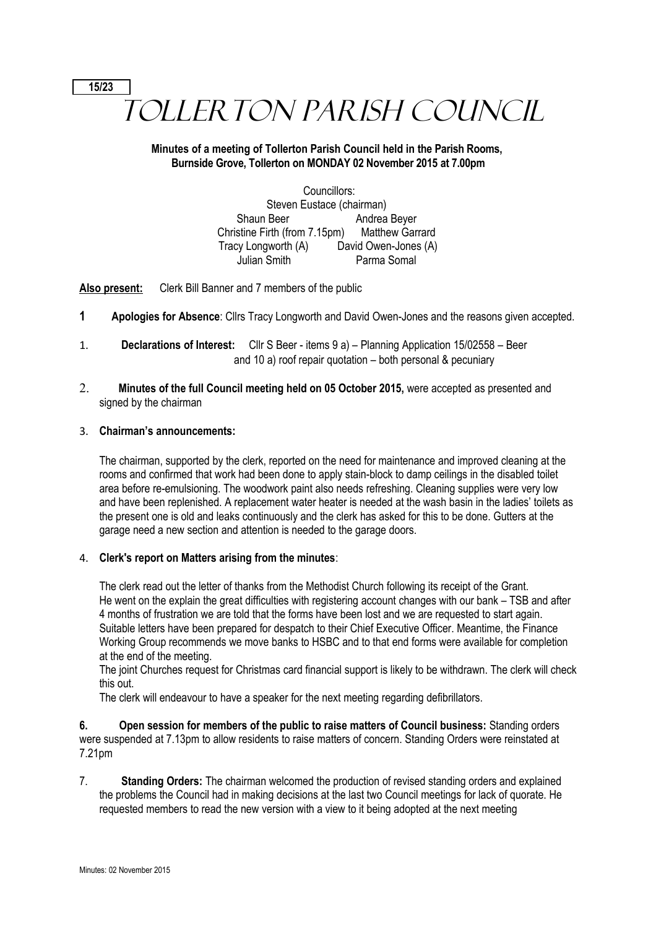# **15/23** TOLLERTON PARISH COUNCIL

# **Minutes of a meeting of Tollerton Parish Council held in the Parish Rooms, Burnside Grove, Tollerton on MONDAY 02 November 2015 at 7.00pm**

Councillors: Steven Eustace (chairman) Shaun Beer **Andrea Beyer** Christine Firth (from 7.15pm) Matthew Garrard Tracy Longworth (A) David Owen-Jones (A) Julian Smith Parma Somal

**Also present:** Clerk Bill Banner and 7 members of the public

- **1 Apologies for Absence**: Cllrs Tracy Longworth and David Owen-Jones and the reasons given accepted.
- 1. **Declarations of Interest:** Cllr S Beer items 9 a) Planning Application 15/02558 Beer and 10 a) roof repair quotation – both personal & pecuniary
- 2. **Minutes of the full Council meeting held on 05 October 2015,** were accepted as presented and signed by the chairman

# 3. **Chairman's announcements:**

The chairman, supported by the clerk, reported on the need for maintenance and improved cleaning at the rooms and confirmed that work had been done to apply stain-block to damp ceilings in the disabled toilet area before re-emulsioning. The woodwork paint also needs refreshing. Cleaning supplies were very low and have been replenished. A replacement water heater is needed at the wash basin in the ladies' toilets as the present one is old and leaks continuously and the clerk has asked for this to be done. Gutters at the garage need a new section and attention is needed to the garage doors.

# 4. **Clerk's report on Matters arising from the minutes**:

The clerk read out the letter of thanks from the Methodist Church following its receipt of the Grant. He went on the explain the great difficulties with registering account changes with our bank – TSB and after 4 months of frustration we are told that the forms have been lost and we are requested to start again. Suitable letters have been prepared for despatch to their Chief Executive Officer. Meantime, the Finance Working Group recommends we move banks to HSBC and to that end forms were available for completion at the end of the meeting.

The joint Churches request for Christmas card financial support is likely to be withdrawn. The clerk will check this out.

The clerk will endeavour to have a speaker for the next meeting regarding defibrillators.

**6. Open session for members of the public to raise matters of Council business:** Standing orders were suspended at 7.13pm to allow residents to raise matters of concern. Standing Orders were reinstated at 7.21pm

7. **Standing Orders:** The chairman welcomed the production of revised standing orders and explained the problems the Council had in making decisions at the last two Council meetings for lack of quorate. He requested members to read the new version with a view to it being adopted at the next meeting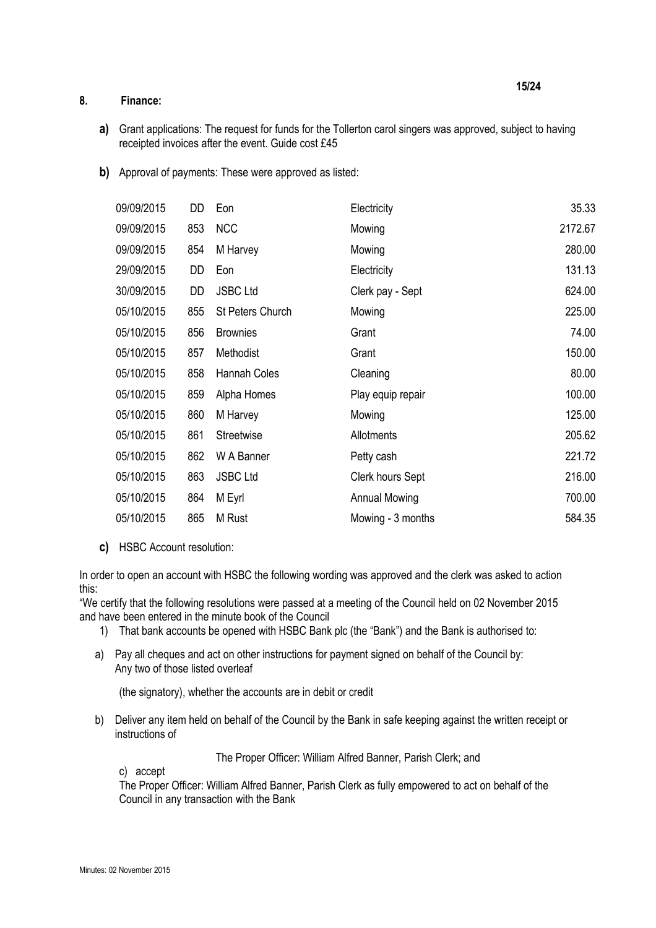# **8. Finance:**

- **a)** Grant applications: The request for funds for the Tollerton carol singers was approved, subject to having receipted invoices after the event. Guide cost £45
- **b)** Approval of payments: These were approved as listed:

| 09/09/2015 | DD  | Eon                     | Electricity          | 35.33   |
|------------|-----|-------------------------|----------------------|---------|
| 09/09/2015 | 853 | <b>NCC</b>              | Mowing               | 2172.67 |
| 09/09/2015 | 854 | M Harvey                | Mowing               | 280.00  |
| 29/09/2015 | DD  | Eon                     | Electricity          | 131.13  |
| 30/09/2015 | DD  | <b>JSBC Ltd</b>         | Clerk pay - Sept     | 624.00  |
| 05/10/2015 | 855 | <b>St Peters Church</b> | Mowing               | 225.00  |
| 05/10/2015 | 856 | <b>Brownies</b>         | Grant                | 74.00   |
| 05/10/2015 | 857 | Methodist               | Grant                | 150.00  |
| 05/10/2015 | 858 | Hannah Coles            | Cleaning             | 80.00   |
| 05/10/2015 | 859 | Alpha Homes             | Play equip repair    | 100.00  |
| 05/10/2015 | 860 | M Harvey                | Mowing               | 125.00  |
| 05/10/2015 | 861 | Streetwise              | Allotments           | 205.62  |
| 05/10/2015 | 862 | W A Banner              | Petty cash           | 221.72  |
| 05/10/2015 | 863 | <b>JSBC Ltd</b>         | Clerk hours Sept     | 216.00  |
| 05/10/2015 | 864 | M Eyrl                  | <b>Annual Mowing</b> | 700.00  |
| 05/10/2015 | 865 | M Rust                  | Mowing - 3 months    | 584.35  |

**c)** HSBC Account resolution:

In order to open an account with HSBC the following wording was approved and the clerk was asked to action this:

"We certify that the following resolutions were passed at a meeting of the Council held on 02 November 2015 and have been entered in the minute book of the Council

- 1) That bank accounts be opened with HSBC Bank plc (the "Bank") and the Bank is authorised to:
- a) Pay all cheques and act on other instructions for payment signed on behalf of the Council by: Any two of those listed overleaf

(the signatory), whether the accounts are in debit or credit

b) Deliver any item held on behalf of the Council by the Bank in safe keeping against the written receipt or instructions of

The Proper Officer: William Alfred Banner, Parish Clerk; and

c) accept

The Proper Officer: William Alfred Banner, Parish Clerk as fully empowered to act on behalf of the Council in any transaction with the Bank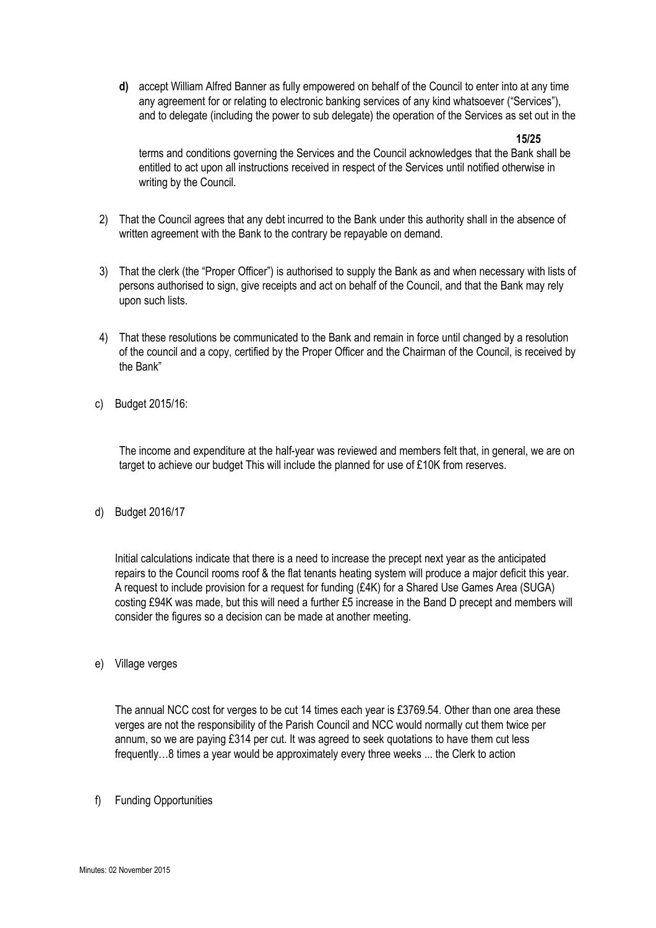**d)** accept William Alfred Banner as fully empowered on behalf of the Council to enter into at any time any agreement for or relating to electronic banking services of any kind whatsoever ("Services"), and to delegate (including the power to sub delegate) the operation of the Services as set out in the

**15/25**

terms and conditions governing the Services and the Council acknowledges that the Bank shall be entitled to act upon all instructions received in respect of the Services until notified otherwise in writing by the Council.

- 2) That the Council agrees that any debt incurred to the Bank under this authority shall in the absence of written agreement with the Bank to the contrary be repayable on demand.
- 3) That the clerk (the "Proper Officer") is authorised to supply the Bank as and when necessary with lists of persons authorised to sign, give receipts and act on behalf of the Council, and that the Bank may rely upon such lists.
- 4) That these resolutions be communicated to the Bank and remain in force until changed by a resolution of the council and a copy, certified by the Proper Officer and the Chairman of the Council, is received by the Bank"
- c) Budget 2015/16:

The income and expenditure at the half-year was reviewed and members felt that, in general, we are on target to achieve our budget This will include the planned for use of £10K from reserves.

d) Budget 2016/17

Initial calculations indicate that there is a need to increase the precept next year as the anticipated repairs to the Council rooms roof & the flat tenants heating system will produce a major deficit this year. A request to include provision for a request for funding (£4K) for a Shared Use Games Area (SUGA) costing £94K was made, but this will need a further £5 increase in the Band D precept and members will consider the figures so a decision can be made at another meeting.

e) Village verges

The annual NCC cost for verges to be cut 14 times each year is £3769.54. Other than one area these verges are not the responsibility of the Parish Council and NCC would normally cut them twice per annum, so we are paying £314 per cut. It was agreed to seek quotations to have them cut less frequently…8 times a year would be approximately every three weeks ... the Clerk to action

f) Funding Opportunities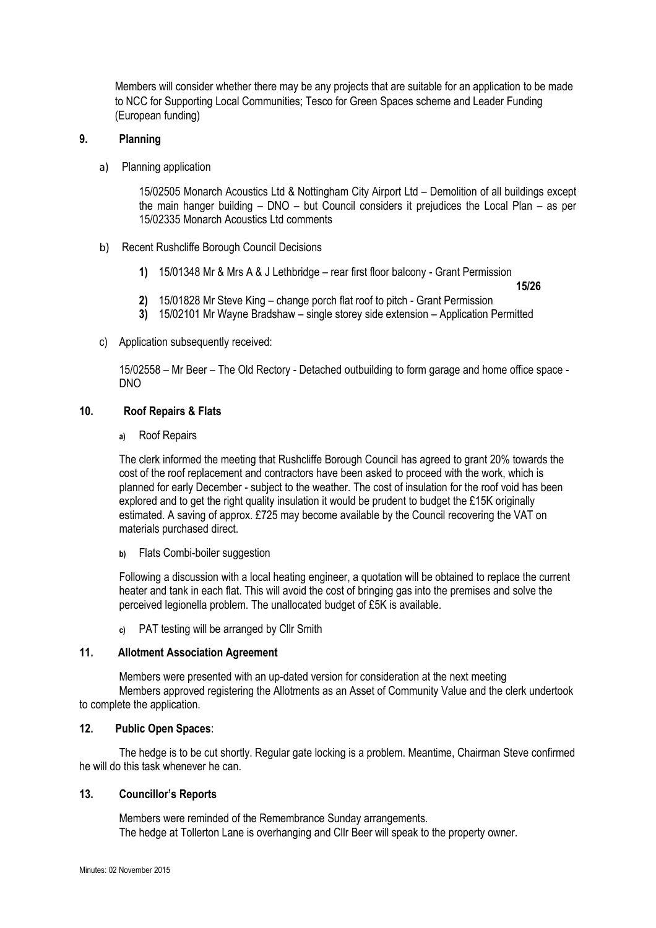Members will consider whether there may be any projects that are suitable for an application to be made to NCC for Supporting Local Communities; Tesco for Green Spaces scheme and Leader Funding (European funding)

# **9. Planning**

a) Planning application

15/02505 Monarch Acoustics Ltd & Nottingham City Airport Ltd – Demolition of all buildings except the main hanger building – DNO – but Council considers it prejudices the Local Plan – as per 15/02335 Monarch Acoustics Ltd comments

- b) Recent Rushcliffe Borough Council Decisions
	- **1)** 15/01348 Mr & Mrs A & J Lethbridge rear first floor balcony Grant Permission **15/26**
	- **2)** 15/01828 Mr Steve King change porch flat roof to pitch Grant Permission
	- **3)** 15/02101 Mr Wayne Bradshaw single storey side extension Application Permitted
- c) Application subsequently received:

15/02558 – Mr Beer – The Old Rectory - Detached outbuilding to form garage and home office space - DNO

# **10. Roof Repairs & Flats**

**a)** Roof Repairs

The clerk informed the meeting that Rushcliffe Borough Council has agreed to grant 20% towards the cost of the roof replacement and contractors have been asked to proceed with the work, which is planned for early December - subject to the weather. The cost of insulation for the roof void has been explored and to get the right quality insulation it would be prudent to budget the £15K originally estimated. A saving of approx. £725 may become available by the Council recovering the VAT on materials purchased direct.

**b)** Flats Combi-boiler suggestion

Following a discussion with a local heating engineer, a quotation will be obtained to replace the current heater and tank in each flat. This will avoid the cost of bringing gas into the premises and solve the perceived legionella problem. The unallocated budget of £5K is available.

**c)** PAT testing will be arranged by Cllr Smith

#### **11. Allotment Association Agreement**

Members were presented with an up-dated version for consideration at the next meeting Members approved registering the Allotments as an Asset of Community Value and the clerk undertook to complete the application.

#### **12. Public Open Spaces**:

The hedge is to be cut shortly. Regular gate locking is a problem. Meantime, Chairman Steve confirmed he will do this task whenever he can.

#### **13. Councillor's Reports**

Members were reminded of the Remembrance Sunday arrangements. The hedge at Tollerton Lane is overhanging and Cllr Beer will speak to the property owner.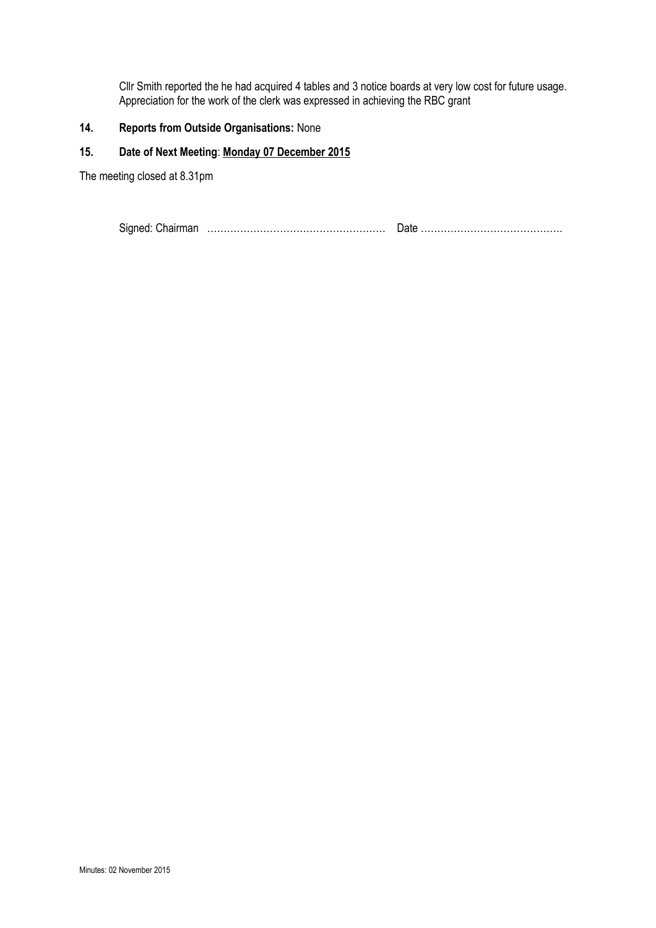Cllr Smith reported the he had acquired 4 tables and 3 notice boards at very low cost for future usage. Appreciation for the work of the clerk was expressed in achieving the RBC grant

# **14. Reports from Outside Organisations:** None

# **15. Date of Next Meeting**: **Monday 07 December 2015**

The meeting closed at 8.31pm

Signed: Chairman ……………………………………………… Date …………………………………….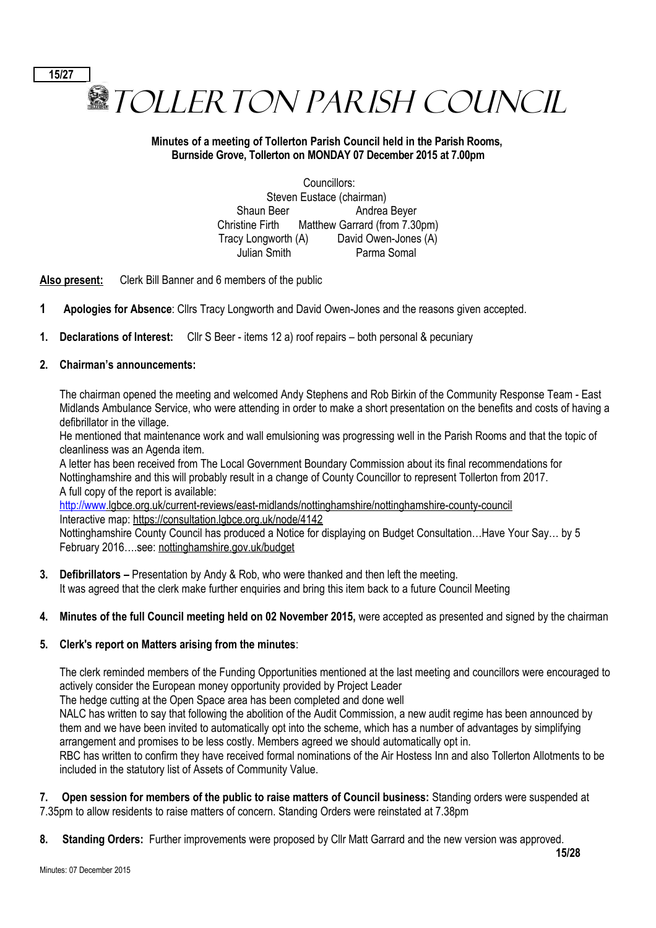**图TOLLER TON PARISH COUNCIL** 

# **Minutes of a meeting of Tollerton Parish Council held in the Parish Rooms, Burnside Grove, Tollerton on MONDAY 07 December 2015 at 7.00pm**

Councillors: Steven Eustace (chairman) Shaun Beer Andrea Beyer Christine Firth Matthew Garrard (from 7.30pm) Tracy Longworth (A) David Owen-Jones (A) Julian Smith Parma Somal

**Also present:** Clerk Bill Banner and 6 members of the public

- **1 Apologies for Absence**: Cllrs Tracy Longworth and David Owen-Jones and the reasons given accepted.
- **1. Declarations of Interest:** Cllr S Beer items 12 a) roof repairs both personal & pecuniary

# **2. Chairman's announcements:**

**15/27**

The chairman opened the meeting and welcomed Andy Stephens and Rob Birkin of the Community Response Team - East Midlands Ambulance Service, who were attending in order to make a short presentation on the benefits and costs of having a defibrillator in the village.

He mentioned that maintenance work and wall emulsioning was progressing well in the Parish Rooms and that the topic of cleanliness was an Agenda item.

A letter has been received from The Local Government Boundary Commission about its final recommendations for Nottinghamshire and this will probably result in a change of County Councillor to represent Tollerton from 2017. A full copy of the report is available:

 [http://www.](http://www/)lgbce.org.uk/current-reviews/east-midlands/nottinghamshire/nottinghamshire-county-council Interactive map: https://consultation.lgbce.org.uk/node/4142

Nottinghamshire County Council has produced a Notice for displaying on Budget Consultation…Have Your Say… by 5 February 2016….see: nottinghamshire.gov.uk/budget

- **3. Defibrillators** Presentation by Andy & Rob, who were thanked and then left the meeting. It was agreed that the clerk make further enquiries and bring this item back to a future Council Meeting
- **4. Minutes of the full Council meeting held on 02 November 2015,** were accepted as presented and signed by the chairman

#### **5. Clerk's report on Matters arising from the minutes**:

The clerk reminded members of the Funding Opportunities mentioned at the last meeting and councillors were encouraged to actively consider the European money opportunity provided by Project Leader

The hedge cutting at the Open Space area has been completed and done well

NALC has written to say that following the abolition of the Audit Commission, a new audit regime has been announced by them and we have been invited to automatically opt into the scheme, which has a number of advantages by simplifying arrangement and promises to be less costly. Members agreed we should automatically opt in.

RBC has written to confirm they have received formal nominations of the Air Hostess Inn and also Tollerton Allotments to be included in the statutory list of Assets of Community Value.

**7. Open session for members of the public to raise matters of Council business:** Standing orders were suspended at 7.35pm to allow residents to raise matters of concern. Standing Orders were reinstated at 7.38pm

**8. Standing Orders:** Further improvements were proposed by Cllr Matt Garrard and the new version was approved.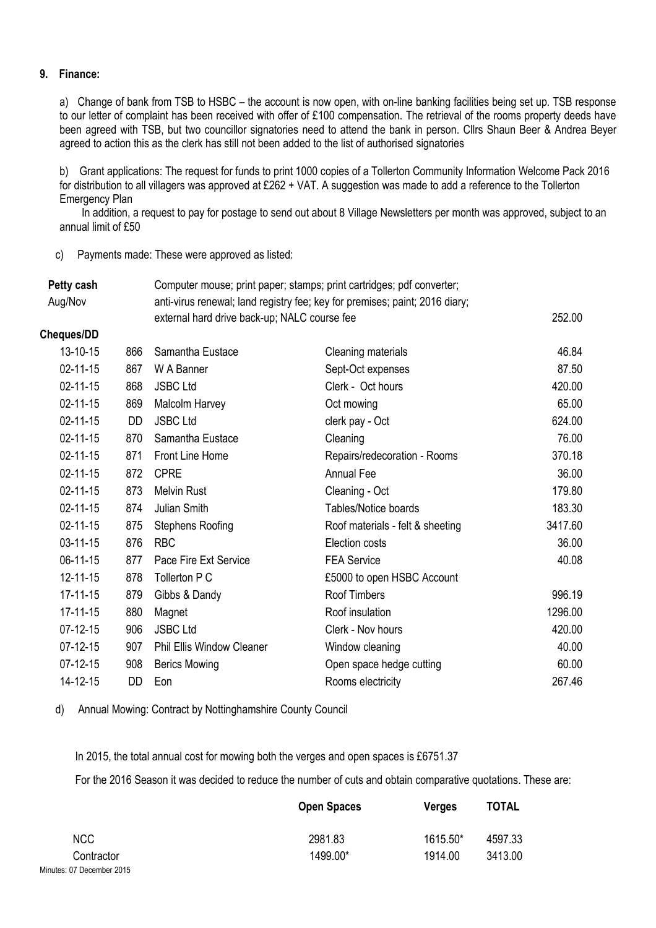# **9. Finance:**

a) Change of bank from TSB to HSBC – the account is now open, with on-line banking facilities being set up. TSB response to our letter of complaint has been received with offer of £100 compensation. The retrieval of the rooms property deeds have been agreed with TSB, but two councillor signatories need to attend the bank in person. Cllrs Shaun Beer & Andrea Beyer agreed to action this as the clerk has still not been added to the list of authorised signatories

b) Grant applications: The request for funds to print 1000 copies of a Tollerton Community Information Welcome Pack 2016 for distribution to all villagers was approved at £262 + VAT. A suggestion was made to add a reference to the Tollerton Emergency Plan

 In addition, a request to pay for postage to send out about 8 Village Newsletters per month was approved, subject to an annual limit of £50

c) Payments made: These were approved as listed:

| Petty cash     |           | Computer mouse; print paper; stamps; print cartridges; pdf converter; |                                                                             |         |  |
|----------------|-----------|-----------------------------------------------------------------------|-----------------------------------------------------------------------------|---------|--|
| Aug/Nov        |           |                                                                       | anti-virus renewal; land registry fee; key for premises; paint; 2016 diary; |         |  |
|                |           | external hard drive back-up; NALC course fee                          | 252.00                                                                      |         |  |
| Cheques/DD     |           |                                                                       |                                                                             |         |  |
| 13-10-15       | 866       | Samantha Eustace                                                      | Cleaning materials                                                          | 46.84   |  |
| $02 - 11 - 15$ | 867       | W A Banner                                                            | Sept-Oct expenses                                                           | 87.50   |  |
| 02-11-15       | 868       | <b>JSBC Ltd</b>                                                       | Clerk - Oct hours                                                           | 420.00  |  |
| $02 - 11 - 15$ | 869       | Malcolm Harvey                                                        | Oct mowing                                                                  | 65.00   |  |
| $02 - 11 - 15$ | <b>DD</b> | <b>JSBC Ltd</b>                                                       | clerk pay - Oct                                                             | 624.00  |  |
| $02 - 11 - 15$ | 870       | Samantha Eustace                                                      | Cleaning                                                                    | 76.00   |  |
| $02 - 11 - 15$ | 871       | Front Line Home                                                       | Repairs/redecoration - Rooms                                                | 370.18  |  |
| $02 - 11 - 15$ | 872       | <b>CPRE</b>                                                           | Annual Fee                                                                  | 36.00   |  |
| $02 - 11 - 15$ | 873       | <b>Melvin Rust</b>                                                    | Cleaning - Oct                                                              | 179.80  |  |
| $02 - 11 - 15$ | 874       | Julian Smith                                                          | Tables/Notice boards                                                        | 183.30  |  |
| $02 - 11 - 15$ | 875       | <b>Stephens Roofing</b>                                               | Roof materials - felt & sheeting                                            | 3417.60 |  |
| 03-11-15       | 876       | <b>RBC</b>                                                            | Election costs                                                              | 36.00   |  |
| $06-11-15$     | 877       | Pace Fire Ext Service                                                 | <b>FEA Service</b>                                                          | 40.08   |  |
| 12-11-15       | 878       | Tollerton P C                                                         | £5000 to open HSBC Account                                                  |         |  |
| $17 - 11 - 15$ | 879       | Gibbs & Dandy                                                         | Roof Timbers                                                                | 996.19  |  |
| $17 - 11 - 15$ | 880       | Magnet                                                                | Roof insulation                                                             | 1296.00 |  |
| $07-12-15$     | 906       | <b>JSBC Ltd</b>                                                       | Clerk - Nov hours                                                           | 420.00  |  |
| $07-12-15$     | 907       | <b>Phil Ellis Window Cleaner</b>                                      | Window cleaning                                                             | 40.00   |  |
| $07-12-15$     | 908       | <b>Berics Mowing</b>                                                  | Open space hedge cutting                                                    | 60.00   |  |
| 14-12-15       | DD        | Eon                                                                   | Rooms electricity                                                           | 267.46  |  |

d) Annual Mowing: Contract by Nottinghamshire County Council

In 2015, the total annual cost for mowing both the verges and open spaces is £6751.37

For the 2016 Season it was decided to reduce the number of cuts and obtain comparative quotations. These are:

|                           | <b>Open Spaces</b> | <b>Verges</b> | <b>TOTAL</b> |
|---------------------------|--------------------|---------------|--------------|
| NCC                       | 2981.83            | 1615.50*      | 4597.33      |
| Contractor                | 1499.00*           | 1914.00       | 3413.00      |
| Minutes: 07 December 2015 |                    |               |              |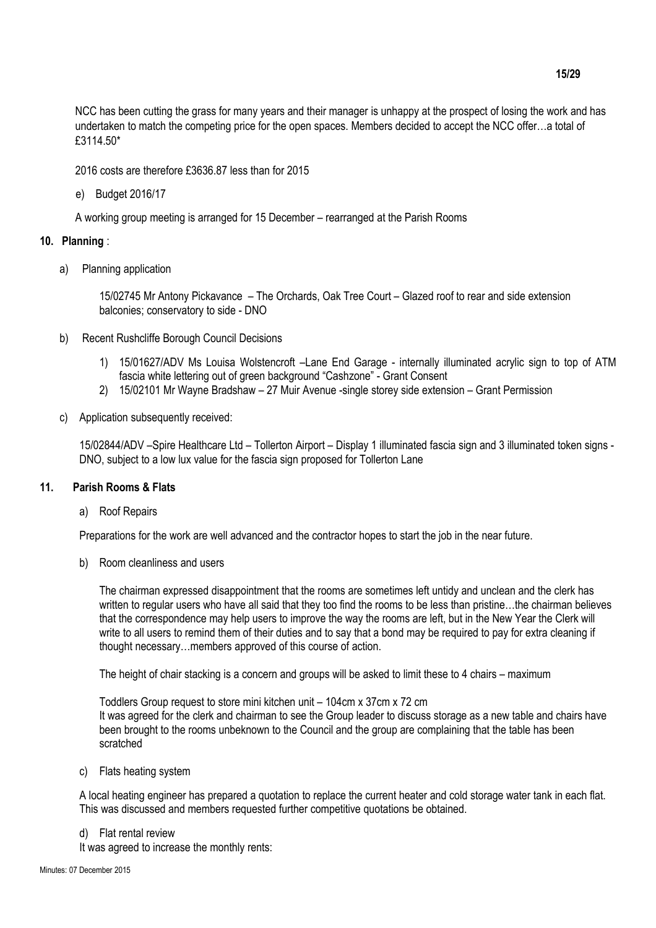NCC has been cutting the grass for many years and their manager is unhappy at the prospect of losing the work and has undertaken to match the competing price for the open spaces. Members decided to accept the NCC offer…a total of £3114.50\*

2016 costs are therefore £3636.87 less than for 2015

e) Budget 2016/17

A working group meeting is arranged for 15 December – rearranged at the Parish Rooms

#### **10. Planning** :

a) Planning application

15/02745 Mr Antony Pickavance – The Orchards, Oak Tree Court – Glazed roof to rear and side extension balconies; conservatory to side - DNO

- b) Recent Rushcliffe Borough Council Decisions
	- 1) 15/01627/ADV Ms Louisa Wolstencroft –Lane End Garage internally illuminated acrylic sign to top of ATM fascia white lettering out of green background "Cashzone" - Grant Consent
	- 2) 15/02101 Mr Wayne Bradshaw 27 Muir Avenue -single storey side extension Grant Permission
- c) Application subsequently received:

15/02844/ADV –Spire Healthcare Ltd – Tollerton Airport – Display 1 illuminated fascia sign and 3 illuminated token signs - DNO, subject to a low lux value for the fascia sign proposed for Tollerton Lane

#### **11. Parish Rooms & Flats**

a) Roof Repairs

Preparations for the work are well advanced and the contractor hopes to start the job in the near future.

b) Room cleanliness and users

The chairman expressed disappointment that the rooms are sometimes left untidy and unclean and the clerk has written to regular users who have all said that they too find the rooms to be less than pristine...the chairman believes that the correspondence may help users to improve the way the rooms are left, but in the New Year the Clerk will write to all users to remind them of their duties and to say that a bond may be required to pay for extra cleaning if thought necessary…members approved of this course of action.

The height of chair stacking is a concern and groups will be asked to limit these to 4 chairs – maximum

Toddlers Group request to store mini kitchen unit – 104cm x 37cm x 72 cm It was agreed for the clerk and chairman to see the Group leader to discuss storage as a new table and chairs have been brought to the rooms unbeknown to the Council and the group are complaining that the table has been scratched

c) Flats heating system

A local heating engineer has prepared a quotation to replace the current heater and cold storage water tank in each flat. This was discussed and members requested further competitive quotations be obtained.

d) Flat rental review It was agreed to increase the monthly rents: